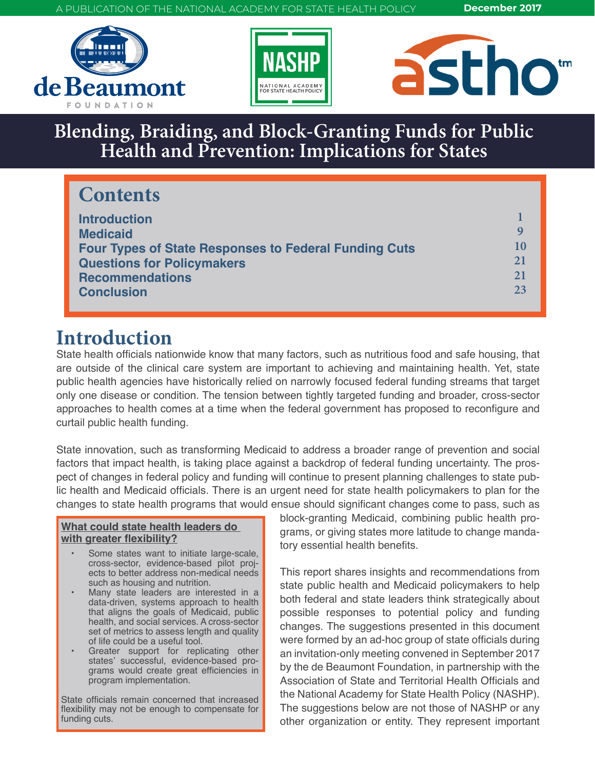A PUBLICATION OF THE NATIONAL ACADEMY FOR STATE HEALTH POLICY **December 2017**







# **Blending, Braiding, and Block-Granting Funds for Public Health and Prevention: Implications for States**

## **Contents**

| <b>Introduction</b><br><b>Medicaid</b>                                                            | Q              |
|---------------------------------------------------------------------------------------------------|----------------|
| <b>Four Types of State Responses to Federal Funding Cuts</b><br><b>Questions for Policymakers</b> | 10<br>21<br>21 |
| <b>Recommendations</b><br><b>Conclusion</b>                                                       | 23             |

## **Introduction**

State health officials nationwide know that many factors, such as nutritious food and safe housing, that are outside of the clinical care system are important to achieving and maintaining health. Yet, state public health agencies have historically relied on narrowly focused federal funding streams that target only one disease or condition. The tension between tightly targeted funding and broader, cross-sector approaches to health comes at a time when the federal government has proposed to reconfigure and curtail public health funding.

State innovation, such as transforming Medicaid to address a broader range of prevention and social factors that impact health, is taking place against a backdrop of federal funding uncertainty. The prospect of changes in federal policy and funding will continue to present planning challenges to state public health and Medicaid officials. There is an urgent need for state health policymakers to plan for the changes to state health programs that would ensue should significant changes come to pass, such as

#### **What could state health leaders do with greater flexibility?**

- Some states want to initiate large-scale, cross-sector, evidence-based pilot projects to better address non-medical needs such as housing and nutrition.
- Many state leaders are interested in a data-driven, systems approach to health that aligns the goals of Medicaid, public health, and social services. A cross-sector set of metrics to assess length and quality of life could be a useful tool.
- Greater support for replicating other states' successful, evidence-based programs would create great efficiencies in program implementation.

State officials remain concerned that increased flexibility may not be enough to compensate for funding cuts.

block-granting Medicaid, combining public health programs, or giving states more latitude to change mandatory essential health benefits.

This report shares insights and recommendations from state public health and Medicaid policymakers to help both federal and state leaders think strategically about possible responses to potential policy and funding changes. The suggestions presented in this document were formed by an ad-hoc group of state officials during an invitation-only meeting convened in September 2017 by the de Beaumont Foundation, in partnership with the Association of State and Territorial Health Officials and the National Academy for State Health Policy (NASHP). The suggestions below are not those of NASHP or any other organization or entity. They represent important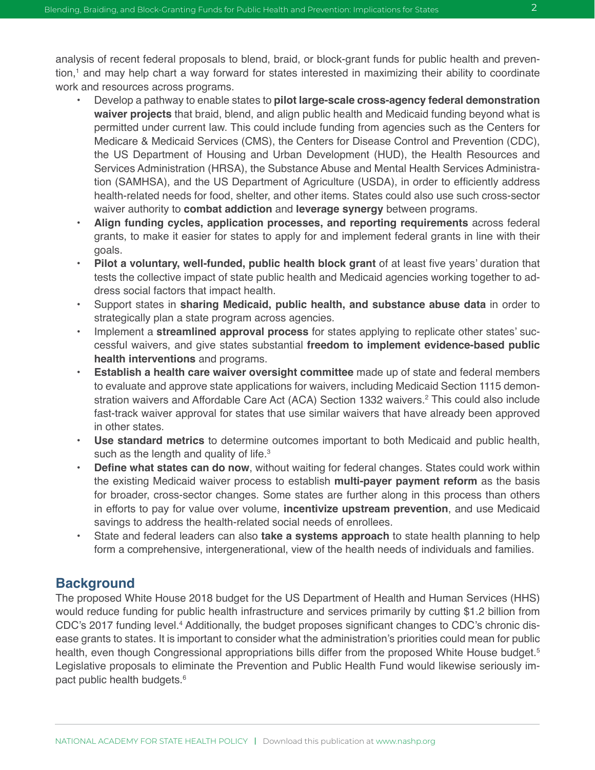analysis of recent federal proposals to blend, braid, or block-grant funds for public health and prevention,<sup>1</sup> and may help chart a way forward for states interested in maximizing their ability to coordinate work and resources across programs.

- Develop a pathway to enable states to **pilot large-scale cross-agency federal demonstration waiver projects** that braid, blend, and align public health and Medicaid funding beyond what is permitted under current law. This could include funding from agencies such as the Centers for Medicare & Medicaid Services (CMS), the Centers for Disease Control and Prevention (CDC), the US Department of Housing and Urban Development (HUD), the Health Resources and Services Administration (HRSA), the Substance Abuse and Mental Health Services Administration (SAMHSA), and the US Department of Agriculture (USDA), in order to efficiently address health-related needs for food, shelter, and other items. States could also use such cross-sector waiver authority to **combat addiction** and **leverage synergy** between programs.
- **• Align funding cycles, application processes, and reporting requirements** across federal grants, to make it easier for states to apply for and implement federal grants in line with their goals.
- **• Pilot a voluntary, well-funded, public health block grant** of at least five years' duration that tests the collective impact of state public health and Medicaid agencies working together to address social factors that impact health.
- Support states in **sharing Medicaid, public health, and substance abuse data** in order to strategically plan a state program across agencies.
- Implement a **streamlined approval process** for states applying to replicate other states' successful waivers, and give states substantial **freedom to implement evidence-based public health interventions** and programs.
- **• Establish a health care waiver oversight committee** made up of state and federal members to evaluate and approve state applications for waivers, including Medicaid Section 1115 demonstration waivers and Affordable Care Act (ACA) Section 1332 waivers.<sup>2</sup> This could also include fast-track waiver approval for states that use similar waivers that have already been approved in other states.
- **• Use standard metrics** to determine outcomes important to both Medicaid and public health, such as the length and quality of life.<sup>3</sup>
- **• Define what states can do now**, without waiting for federal changes. States could work within the existing Medicaid waiver process to establish **multi-payer payment reform** as the basis for broader, cross-sector changes. Some states are further along in this process than others in efforts to pay for value over volume, **incentivize upstream prevention**, and use Medicaid savings to address the health-related social needs of enrollees.
- State and federal leaders can also **take a systems approach** to state health planning to help form a comprehensive, intergenerational, view of the health needs of individuals and families.

#### **Background**

The proposed White House 2018 budget for the US Department of Health and Human Services (HHS) would reduce funding for public health infrastructure and services primarily by cutting \$1.2 billion from CDC's 2017 funding level.<sup>4</sup> Additionally, the budget proposes significant changes to CDC's chronic disease grants to states. It is important to consider what the administration's priorities could mean for public health, even though Congressional appropriations bills differ from the proposed White House budget.<sup>5</sup> Legislative proposals to eliminate the Prevention and Public Health Fund would likewise seriously impact public health budgets.<sup>6</sup>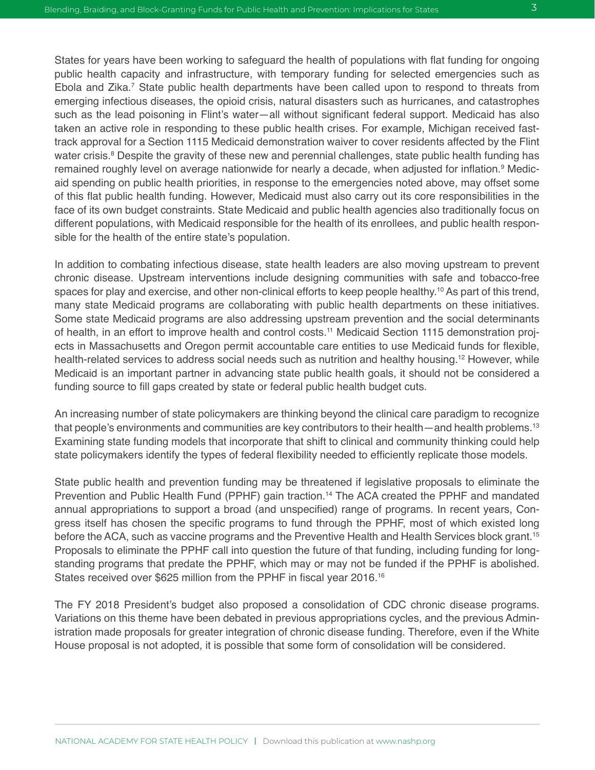States for years have been working to safeguard the health of populations with flat funding for ongoing public health capacity and infrastructure, with temporary funding for selected emergencies such as Ebola and Zika.<sup>7</sup> State public health departments have been called upon to respond to threats from emerging infectious diseases, the opioid crisis, natural disasters such as hurricanes, and catastrophes such as the lead poisoning in Flint's water—all without significant federal support. Medicaid has also taken an active role in responding to these public health crises. For example, Michigan received fasttrack approval for a Section 1115 Medicaid demonstration waiver to cover residents affected by the Flint water crisis.<sup>8</sup> Despite the gravity of these new and perennial challenges, state public health funding has remained roughly level on average nationwide for nearly a decade, when adjusted for inflation.<sup>9</sup> Medicaid spending on public health priorities, in response to the emergencies noted above, may offset some of this flat public health funding. However, Medicaid must also carry out its core responsibilities in the face of its own budget constraints. State Medicaid and public health agencies also traditionally focus on different populations, with Medicaid responsible for the health of its enrollees, and public health responsible for the health of the entire state's population.

In addition to combating infectious disease, state health leaders are also moving upstream to prevent chronic disease. Upstream interventions include designing communities with safe and tobacco-free spaces for play and exercise, and other non-clinical efforts to keep people healthy.10 As part of this trend, many state Medicaid programs are collaborating with public health departments on these initiatives. Some state Medicaid programs are also addressing upstream prevention and the social determinants of health, in an effort to improve health and control costs.11 Medicaid Section 1115 demonstration projects in Massachusetts and Oregon permit accountable care entities to use Medicaid funds for flexible, health-related services to address social needs such as nutrition and healthy housing.<sup>12</sup> However, while Medicaid is an important partner in advancing state public health goals, it should not be considered a funding source to fill gaps created by state or federal public health budget cuts.

An increasing number of state policymakers are thinking beyond the clinical care paradigm to recognize that people's environments and communities are key contributors to their health—and health problems.<sup>13</sup> Examining state funding models that incorporate that shift to clinical and community thinking could help state policymakers identify the types of federal flexibility needed to efficiently replicate those models.

State public health and prevention funding may be threatened if legislative proposals to eliminate the Prevention and Public Health Fund (PPHF) gain traction.<sup>14</sup> The ACA created the PPHF and mandated annual appropriations to support a broad (and unspecified) range of programs. In recent years, Congress itself has chosen the specific programs to fund through the PPHF, most of which existed long before the ACA, such as vaccine programs and the Preventive Health and Health Services block grant.15 Proposals to eliminate the PPHF call into question the future of that funding, including funding for longstanding programs that predate the PPHF, which may or may not be funded if the PPHF is abolished. States received over \$625 million from the PPHF in fiscal year 2016.<sup>16</sup>

The FY 2018 President's budget also proposed a consolidation of CDC chronic disease programs. Variations on this theme have been debated in previous appropriations cycles, and the previous Administration made proposals for greater integration of chronic disease funding. Therefore, even if the White House proposal is not adopted, it is possible that some form of consolidation will be considered.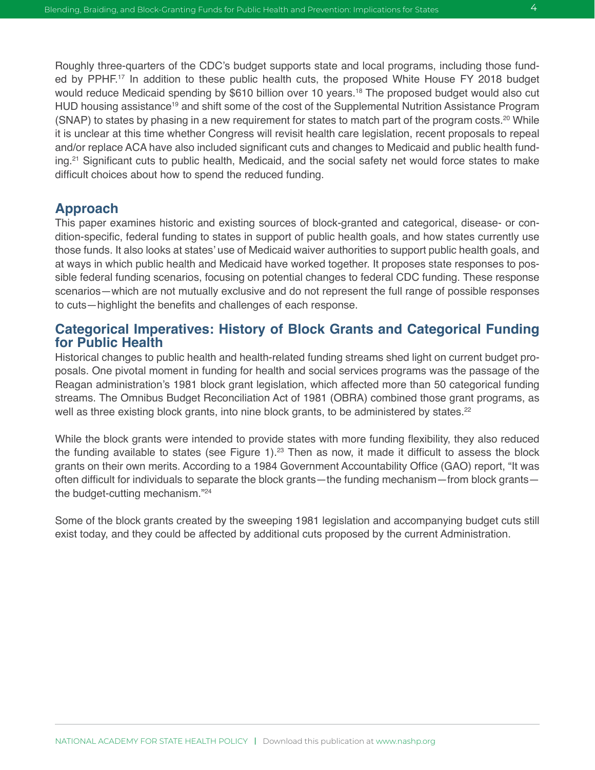Roughly three-quarters of the CDC's budget supports state and local programs, including those funded by PPHF.<sup>17</sup> In addition to these public health cuts, the proposed White House FY 2018 budget would reduce Medicaid spending by \$610 billion over 10 years.<sup>18</sup> The proposed budget would also cut HUD housing assistance<sup>19</sup> and shift some of the cost of the Supplemental Nutrition Assistance Program (SNAP) to states by phasing in a new requirement for states to match part of the program costs.<sup>20</sup> While it is unclear at this time whether Congress will revisit health care legislation, recent proposals to repeal and/or replace ACA have also included significant cuts and changes to Medicaid and public health funding.<sup>21</sup> Significant cuts to public health, Medicaid, and the social safety net would force states to make difficult choices about how to spend the reduced funding.

#### **Approach**

This paper examines historic and existing sources of block-granted and categorical, disease- or condition-specific, federal funding to states in support of public health goals, and how states currently use those funds. It also looks at states' use of Medicaid waiver authorities to support public health goals, and at ways in which public health and Medicaid have worked together. It proposes state responses to possible federal funding scenarios, focusing on potential changes to federal CDC funding. These response scenarios—which are not mutually exclusive and do not represent the full range of possible responses to cuts—highlight the benefits and challenges of each response.

#### **Categorical Imperatives: History of Block Grants and Categorical Funding for Public Health**

Historical changes to public health and health-related funding streams shed light on current budget proposals. One pivotal moment in funding for health and social services programs was the passage of the Reagan administration's 1981 block grant legislation, which affected more than 50 categorical funding streams. The Omnibus Budget Reconciliation Act of 1981 (OBRA) combined those grant programs, as well as three existing block grants, into nine block grants, to be administered by states.<sup>22</sup>

While the block grants were intended to provide states with more funding flexibility, they also reduced the funding available to states (see Figure  $1$ ).<sup>23</sup> Then as now, it made it difficult to assess the block grants on their own merits. According to a 1984 Government Accountability Office (GAO) report, "It was often difficult for individuals to separate the block grants—the funding mechanism—from block grants the budget-cutting mechanism."24

Some of the block grants created by the sweeping 1981 legislation and accompanying budget cuts still exist today, and they could be affected by additional cuts proposed by the current Administration.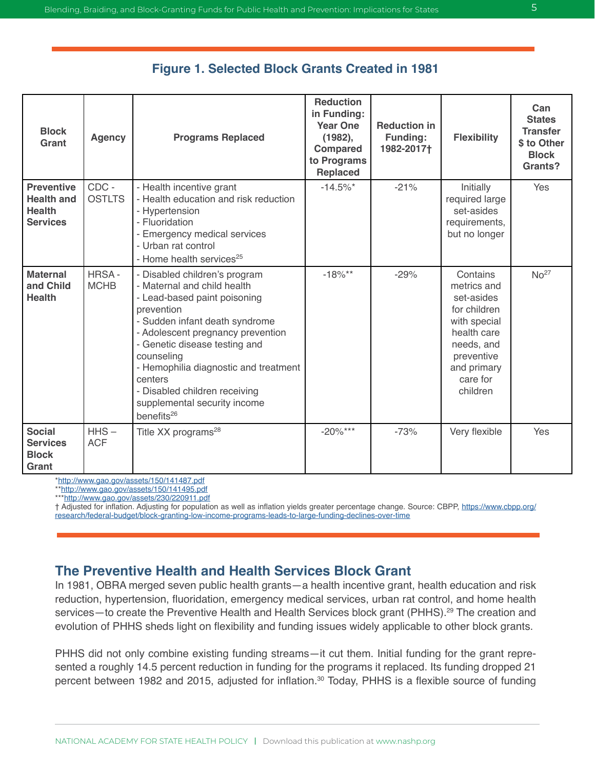| <b>Block</b><br>Grant                                                      | <b>Agency</b>          | <b>Programs Replaced</b>                                                                                                                                                                                                                                                                                                                                                        | <b>Reduction</b><br>in Funding:<br><b>Year One</b><br>(1982),<br><b>Compared</b><br>to Programs<br><b>Replaced</b> | <b>Reduction in</b><br><b>Funding:</b><br>1982-2017† | <b>Flexibility</b>                                                                                                                                      | Can<br><b>States</b><br><b>Transfer</b><br>\$ to Other<br><b>Block</b><br>Grants? |
|----------------------------------------------------------------------------|------------------------|---------------------------------------------------------------------------------------------------------------------------------------------------------------------------------------------------------------------------------------------------------------------------------------------------------------------------------------------------------------------------------|--------------------------------------------------------------------------------------------------------------------|------------------------------------------------------|---------------------------------------------------------------------------------------------------------------------------------------------------------|-----------------------------------------------------------------------------------|
| <b>Preventive</b><br><b>Health and</b><br><b>Health</b><br><b>Services</b> | CDC -<br><b>OSTLTS</b> | - Health incentive grant<br>- Health education and risk reduction<br>- Hypertension<br>- Fluoridation<br>- Emergency medical services<br>- Urban rat control<br>- Home health services <sup>25</sup>                                                                                                                                                                            | $-14.5\%$ *                                                                                                        | $-21%$                                               | Initially<br>required large<br>set-asides<br>requirements,<br>but no longer                                                                             | Yes                                                                               |
| <b>Maternal</b><br>and Child<br><b>Health</b>                              | HRSA-<br><b>MCHB</b>   | - Disabled children's program<br>- Maternal and child health<br>- Lead-based paint poisoning<br>prevention<br>- Sudden infant death syndrome<br>- Adolescent pregnancy prevention<br>- Genetic disease testing and<br>counseling<br>- Hemophilia diagnostic and treatment<br>centers<br>- Disabled children receiving<br>supplemental security income<br>benefits <sup>26</sup> | $-18\%**$                                                                                                          | $-29%$                                               | Contains<br>metrics and<br>set-asides<br>for children<br>with special<br>health care<br>needs, and<br>preventive<br>and primary<br>care for<br>children | No <sup>27</sup>                                                                  |
| <b>Social</b><br><b>Services</b><br><b>Block</b><br>Grant                  | $HHS -$<br><b>ACF</b>  | Title XX programs <sup>28</sup>                                                                                                                                                                                                                                                                                                                                                 | $-20\%***$                                                                                                         | $-73%$                                               | Very flexible                                                                                                                                           | Yes                                                                               |

#### **Figure 1. Selected Block Grants Created in 1981**

\*<http://www.gao.gov/assets/150/141487.pdf>

\*\*<http://www.gao.gov/assets/150/141495.pdf>

\*\*[\\*http://www.gao.gov/assets/230/220911.pdf](http://www.gao.gov/assets/230/220911.pdf)

† Adjusted for inflation. Adjusting for population as well as inflation yields greater percentage change. Source: CBPP, [https://www.cbpp.org/](https://www.cbpp.org/research/federal-budget/block-granting-low-income-programs-leads-to-large-funding-declines-over-time) [research/federal-budget/block-granting-low-income-programs-leads-to-large-funding-declines-over-time](https://www.cbpp.org/research/federal-budget/block-granting-low-income-programs-leads-to-large-funding-declines-over-time)

#### **The Preventive Health and Health Services Block Grant**

In 1981, OBRA merged seven public health grants—a health incentive grant, health education and risk reduction, hypertension, fluoridation, emergency medical services, urban rat control, and home health services—to create the Preventive Health and Health Services block grant (PHHS).<sup>29</sup> The creation and evolution of PHHS sheds light on flexibility and funding issues widely applicable to other block grants.

PHHS did not only combine existing funding streams—it cut them. Initial funding for the grant represented a roughly 14.5 percent reduction in funding for the programs it replaced. Its funding dropped 21 percent between 1982 and 2015, adjusted for inflation.<sup>30</sup> Today, PHHS is a flexible source of funding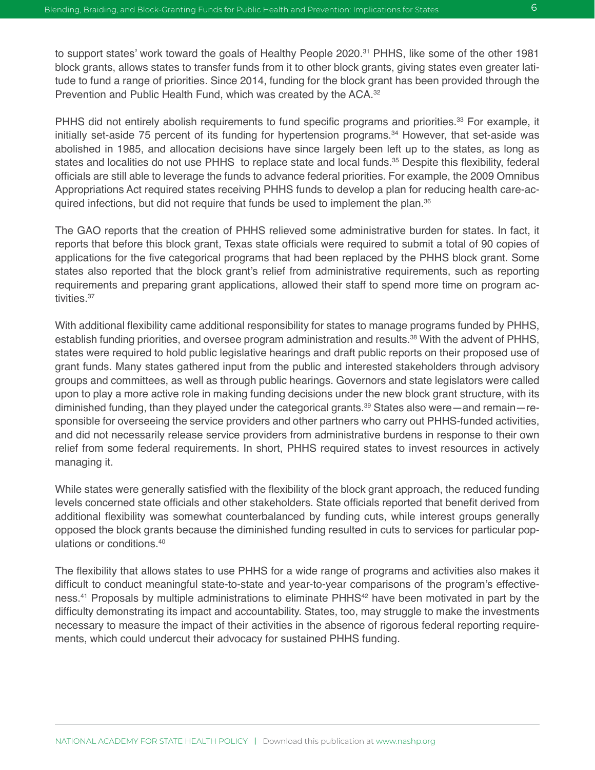PHHS did not entirely abolish requirements to fund specific programs and priorities.<sup>33</sup> For example, it initially set-aside 75 percent of its funding for hypertension programs.<sup>34</sup> However, that set-aside was abolished in 1985, and allocation decisions have since largely been left up to the states, as long as states and localities do not use PHHS to replace state and local funds.<sup>35</sup> Despite this flexibility, federal officials are still able to leverage the funds to advance federal priorities. For example, the 2009 Omnibus Appropriations Act required states receiving PHHS funds to develop a plan for reducing health care-acquired infections, but did not require that funds be used to implement the plan.<sup>36</sup>

The GAO reports that the creation of PHHS relieved some administrative burden for states. In fact, it reports that before this block grant, Texas state officials were required to submit a total of 90 copies of applications for the five categorical programs that had been replaced by the PHHS block grant. Some states also reported that the block grant's relief from administrative requirements, such as reporting requirements and preparing grant applications, allowed their staff to spend more time on program activities.37

With additional flexibility came additional responsibility for states to manage programs funded by PHHS, establish funding priorities, and oversee program administration and results.<sup>38</sup> With the advent of PHHS, states were required to hold public legislative hearings and draft public reports on their proposed use of grant funds. Many states gathered input from the public and interested stakeholders through advisory groups and committees, as well as through public hearings. Governors and state legislators were called upon to play a more active role in making funding decisions under the new block grant structure, with its diminished funding, than they played under the categorical grants.<sup>39</sup> States also were—and remain—responsible for overseeing the service providers and other partners who carry out PHHS-funded activities, and did not necessarily release service providers from administrative burdens in response to their own relief from some federal requirements. In short, PHHS required states to invest resources in actively managing it.

While states were generally satisfied with the flexibility of the block grant approach, the reduced funding levels concerned state officials and other stakeholders. State officials reported that benefit derived from additional flexibility was somewhat counterbalanced by funding cuts, while interest groups generally opposed the block grants because the diminished funding resulted in cuts to services for particular populations or conditions.40

The flexibility that allows states to use PHHS for a wide range of programs and activities also makes it difficult to conduct meaningful state-to-state and year-to-year comparisons of the program's effectiveness.<sup>41</sup> Proposals by multiple administrations to eliminate PHHS<sup>42</sup> have been motivated in part by the difficulty demonstrating its impact and accountability. States, too, may struggle to make the investments necessary to measure the impact of their activities in the absence of rigorous federal reporting requirements, which could undercut their advocacy for sustained PHHS funding.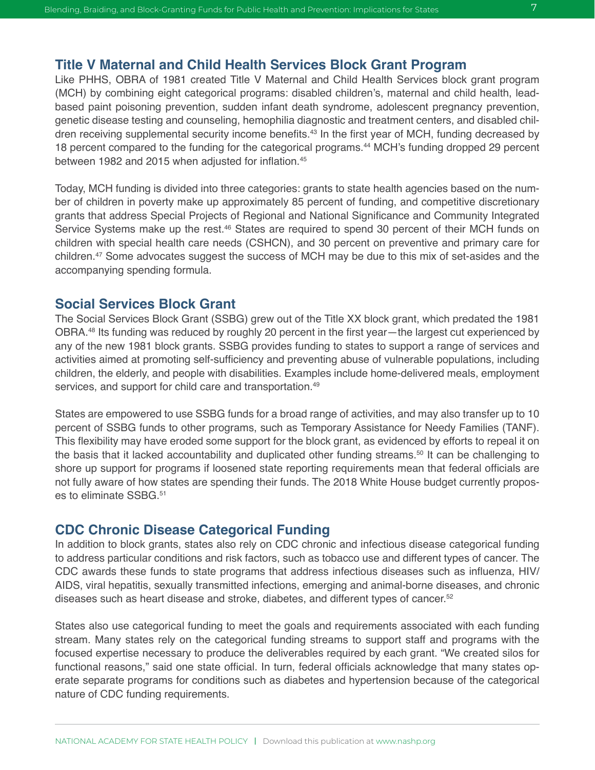#### **Title V Maternal and Child Health Services Block Grant Program**

Like PHHS, OBRA of 1981 created Title V Maternal and Child Health Services block grant program (MCH) by combining eight categorical programs: disabled children's, maternal and child health, leadbased paint poisoning prevention, sudden infant death syndrome, adolescent pregnancy prevention, genetic disease testing and counseling, hemophilia diagnostic and treatment centers, and disabled children receiving supplemental security income benefits.<sup>43</sup> In the first year of MCH, funding decreased by 18 percent compared to the funding for the categorical programs.<sup>44</sup> MCH's funding dropped 29 percent between 1982 and 2015 when adjusted for inflation.<sup>45</sup>

Today, MCH funding is divided into three categories: grants to state health agencies based on the number of children in poverty make up approximately 85 percent of funding, and competitive discretionary grants that address Special Projects of Regional and National Significance and Community Integrated Service Systems make up the rest.<sup>46</sup> States are required to spend 30 percent of their MCH funds on children with special health care needs (CSHCN), and 30 percent on preventive and primary care for children.47 Some advocates suggest the success of MCH may be due to this mix of set-asides and the accompanying spending formula.

#### **Social Services Block Grant**

The Social Services Block Grant (SSBG) grew out of the Title XX block grant, which predated the 1981 OBRA.48 Its funding was reduced by roughly 20 percent in the first year—the largest cut experienced by any of the new 1981 block grants. SSBG provides funding to states to support a range of services and activities aimed at promoting self-sufficiency and preventing abuse of vulnerable populations, including children, the elderly, and people with disabilities. Examples include home-delivered meals, employment services, and support for child care and transportation.<sup>49</sup>

States are empowered to use SSBG funds for a broad range of activities, and may also transfer up to 10 percent of SSBG funds to other programs, such as Temporary Assistance for Needy Families (TANF). This flexibility may have eroded some support for the block grant, as evidenced by efforts to repeal it on the basis that it lacked accountability and duplicated other funding streams.<sup>50</sup> It can be challenging to shore up support for programs if loosened state reporting requirements mean that federal officials are not fully aware of how states are spending their funds. The 2018 White House budget currently proposes to eliminate SSBG.<sup>51</sup>

#### **CDC Chronic Disease Categorical Funding**

In addition to block grants, states also rely on CDC chronic and infectious disease categorical funding to address particular conditions and risk factors, such as tobacco use and different types of cancer. The CDC awards these funds to state programs that address infectious diseases such as influenza, HIV/ AIDS, viral hepatitis, sexually transmitted infections, emerging and animal-borne diseases, and chronic diseases such as heart disease and stroke, diabetes, and different types of cancer.<sup>52</sup>

States also use categorical funding to meet the goals and requirements associated with each funding stream. Many states rely on the categorical funding streams to support staff and programs with the focused expertise necessary to produce the deliverables required by each grant. "We created silos for functional reasons," said one state official. In turn, federal officials acknowledge that many states operate separate programs for conditions such as diabetes and hypertension because of the categorical nature of CDC funding requirements.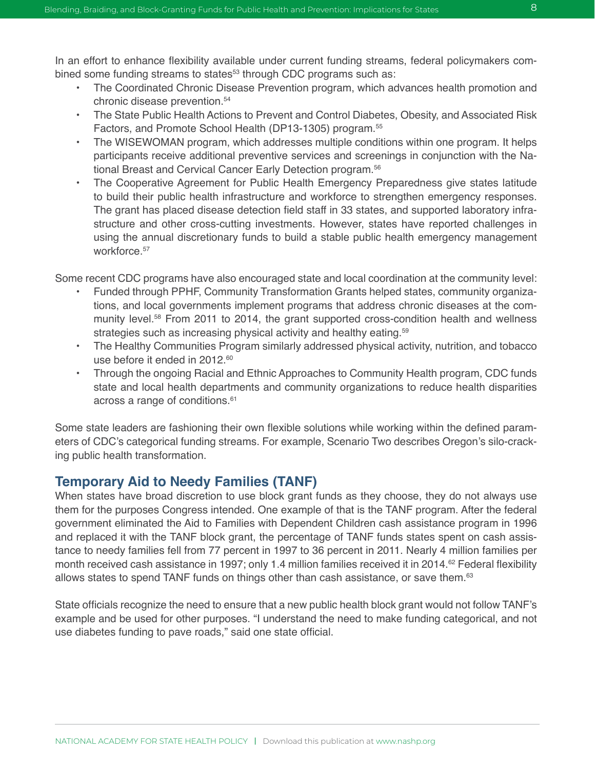In an effort to enhance flexibility available under current funding streams, federal policymakers combined some funding streams to states<sup>53</sup> through CDC programs such as:

- The Coordinated Chronic Disease Prevention program, which advances health promotion and chronic disease prevention.54
- The State Public Health Actions to Prevent and Control Diabetes, Obesity, and Associated Risk Factors, and Promote School Health (DP13-1305) program.<sup>55</sup>
- The WISEWOMAN program, which addresses multiple conditions within one program. It helps participants receive additional preventive services and screenings in conjunction with the National Breast and Cervical Cancer Early Detection program.<sup>56</sup>
- The Cooperative Agreement for Public Health Emergency Preparedness give states latitude to build their public health infrastructure and workforce to strengthen emergency responses. The grant has placed disease detection field staff in 33 states, and supported laboratory infrastructure and other cross-cutting investments. However, states have reported challenges in using the annual discretionary funds to build a stable public health emergency management workforce.<sup>57</sup>

Some recent CDC programs have also encouraged state and local coordination at the community level:

- Funded through PPHF, Community Transformation Grants helped states, community organizations, and local governments implement programs that address chronic diseases at the community level.<sup>58</sup> From 2011 to 2014, the grant supported cross-condition health and wellness strategies such as increasing physical activity and healthy eating.<sup>59</sup>
- The Healthy Communities Program similarly addressed physical activity, nutrition, and tobacco use before it ended in 2012.<sup>60</sup>
- Through the ongoing Racial and Ethnic Approaches to Community Health program, CDC funds state and local health departments and community organizations to reduce health disparities across a range of conditions.<sup>61</sup>

Some state leaders are fashioning their own flexible solutions while working within the defined parameters of CDC's categorical funding streams. For example, Scenario Two describes Oregon's silo-cracking public health transformation.

#### **Temporary Aid to Needy Families (TANF)**

When states have broad discretion to use block grant funds as they choose, they do not always use them for the purposes Congress intended. One example of that is the TANF program. After the federal government eliminated the Aid to Families with Dependent Children cash assistance program in 1996 and replaced it with the TANF block grant, the percentage of TANF funds states spent on cash assistance to needy families fell from 77 percent in 1997 to 36 percent in 2011. Nearly 4 million families per month received cash assistance in 1997; only 1.4 million families received it in 2014.62 Federal flexibility allows states to spend TANF funds on things other than cash assistance, or save them.<sup>63</sup>

State officials recognize the need to ensure that a new public health block grant would not follow TANF's example and be used for other purposes. "I understand the need to make funding categorical, and not use diabetes funding to pave roads," said one state official.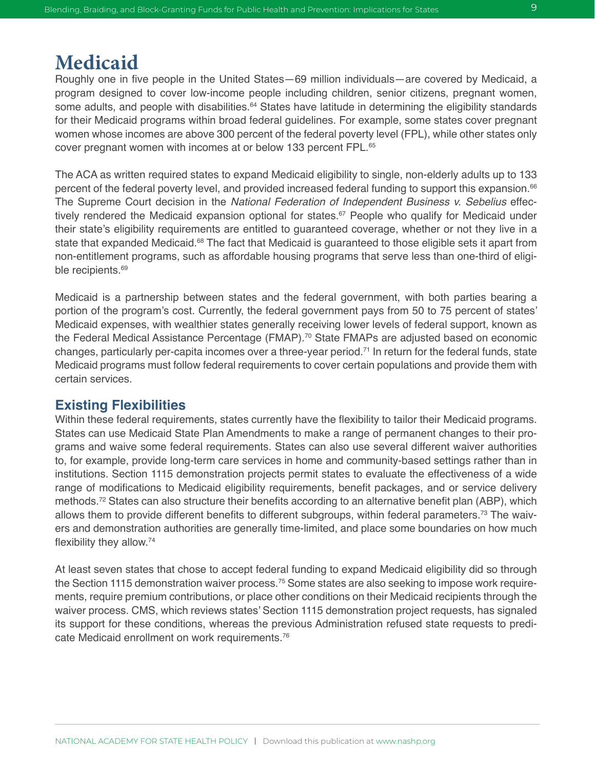## **Medicaid**

Roughly one in five people in the United States—69 million individuals—are covered by Medicaid, a program designed to cover low-income people including children, senior citizens, pregnant women, some adults, and people with disabilities.<sup>64</sup> States have latitude in determining the eligibility standards for their Medicaid programs within broad federal guidelines. For example, some states cover pregnant women whose incomes are above 300 percent of the federal poverty level (FPL), while other states only cover pregnant women with incomes at or below 133 percent FPL.65

The ACA as written required states to expand Medicaid eligibility to single, non-elderly adults up to 133 percent of the federal poverty level, and provided increased federal funding to support this expansion.<sup>66</sup> The Supreme Court decision in the *National Federation of Independent Business v. Sebelius* effectively rendered the Medicaid expansion optional for states.<sup>67</sup> People who qualify for Medicaid under their state's eligibility requirements are entitled to guaranteed coverage, whether or not they live in a state that expanded Medicaid.<sup>68</sup> The fact that Medicaid is quaranteed to those eligible sets it apart from non-entitlement programs, such as affordable housing programs that serve less than one-third of eligible recipients.<sup>69</sup>

Medicaid is a partnership between states and the federal government, with both parties bearing a portion of the program's cost. Currently, the federal government pays from 50 to 75 percent of states' Medicaid expenses, with wealthier states generally receiving lower levels of federal support, known as the Federal Medical Assistance Percentage (FMAP).<sup>70</sup> State FMAPs are adjusted based on economic changes, particularly per-capita incomes over a three-year period.71 In return for the federal funds, state Medicaid programs must follow federal requirements to cover certain populations and provide them with certain services.

#### **Existing Flexibilities**

Within these federal requirements, states currently have the flexibility to tailor their Medicaid programs. States can use Medicaid State Plan Amendments to make a range of permanent changes to their programs and waive some federal requirements. States can also use several different waiver authorities to, for example, provide long-term care services in home and community-based settings rather than in institutions. Section 1115 demonstration projects permit states to evaluate the effectiveness of a wide range of modifications to Medicaid eligibility requirements, benefit packages, and or service delivery methods.<sup>72</sup> States can also structure their benefits according to an alternative benefit plan (ABP), which allows them to provide different benefits to different subgroups, within federal parameters.<sup>73</sup> The waivers and demonstration authorities are generally time-limited, and place some boundaries on how much flexibility they allow.74

At least seven states that chose to accept federal funding to expand Medicaid eligibility did so through the Section 1115 demonstration waiver process.<sup>75</sup> Some states are also seeking to impose work requirements, require premium contributions, or place other conditions on their Medicaid recipients through the waiver process. CMS, which reviews states' Section 1115 demonstration project requests, has signaled its support for these conditions, whereas the previous Administration refused state requests to predicate Medicaid enrollment on work requirements.<sup>76</sup>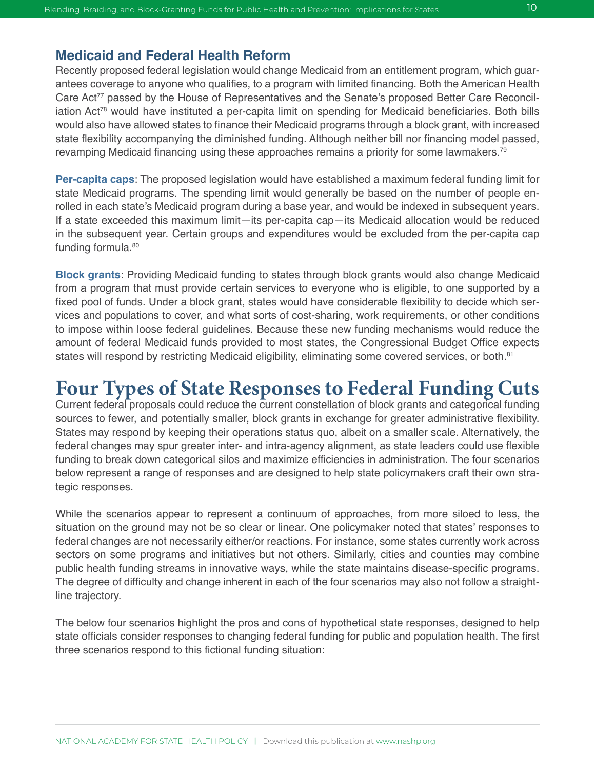#### **Medicaid and Federal Health Reform**

Recently proposed federal legislation would change Medicaid from an entitlement program, which guarantees coverage to anyone who qualifies, to a program with limited financing. Both the American Health Care Act<sup>77</sup> passed by the House of Representatives and the Senate's proposed Better Care Reconciliation Act<sup>78</sup> would have instituted a per-capita limit on spending for Medicaid beneficiaries. Both bills would also have allowed states to finance their Medicaid programs through a block grant, with increased state flexibility accompanying the diminished funding. Although neither bill nor financing model passed, revamping Medicaid financing using these approaches remains a priority for some lawmakers.<sup>79</sup>

**Per-capita caps**: The proposed legislation would have established a maximum federal funding limit for state Medicaid programs. The spending limit would generally be based on the number of people enrolled in each state's Medicaid program during a base year, and would be indexed in subsequent years. If a state exceeded this maximum limit—its per-capita cap—its Medicaid allocation would be reduced in the subsequent year. Certain groups and expenditures would be excluded from the per-capita cap funding formula.<sup>80</sup>

**Block grants**: Providing Medicaid funding to states through block grants would also change Medicaid from a program that must provide certain services to everyone who is eligible, to one supported by a fixed pool of funds. Under a block grant, states would have considerable flexibility to decide which services and populations to cover, and what sorts of cost-sharing, work requirements, or other conditions to impose within loose federal guidelines. Because these new funding mechanisms would reduce the amount of federal Medicaid funds provided to most states, the Congressional Budget Office expects states will respond by restricting Medicaid eligibility, eliminating some covered services, or both.<sup>81</sup>

## **Four Types of State Responses to Federal Funding Cuts**

Current federal proposals could reduce the current constellation of block grants and categorical funding sources to fewer, and potentially smaller, block grants in exchange for greater administrative flexibility. States may respond by keeping their operations status quo, albeit on a smaller scale. Alternatively, the federal changes may spur greater inter- and intra-agency alignment, as state leaders could use flexible funding to break down categorical silos and maximize efficiencies in administration. The four scenarios below represent a range of responses and are designed to help state policymakers craft their own strategic responses.

While the scenarios appear to represent a continuum of approaches, from more siloed to less, the situation on the ground may not be so clear or linear. One policymaker noted that states' responses to federal changes are not necessarily either/or reactions. For instance, some states currently work across sectors on some programs and initiatives but not others. Similarly, cities and counties may combine public health funding streams in innovative ways, while the state maintains disease-specific programs. The degree of difficulty and change inherent in each of the four scenarios may also not follow a straightline trajectory.

The below four scenarios highlight the pros and cons of hypothetical state responses, designed to help state officials consider responses to changing federal funding for public and population health. The first three scenarios respond to this fictional funding situation: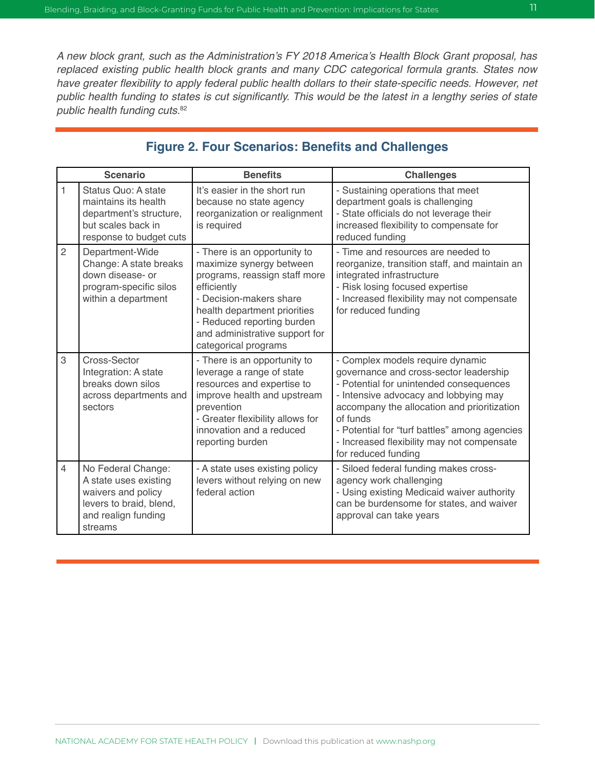A new block grant, such as the Administration's FY 2018 America's Health Block Grant proposal, has *replaced existing public health block grants and many CDC categorical formula grants. States now*  have greater flexibility to apply federal public health dollars to their state-specific needs. However, net public health funding to states is cut significantly. This would be the latest in a lengthy series of state *public health funding cuts.*<sup>82</sup>

| <b>Scenario</b> |                                                                                                                                | <b>Benefits</b>                                                                                                                                                                                                                                             | <b>Challenges</b>                                                                                                                                                                                                                                                                                                                               |  |  |
|-----------------|--------------------------------------------------------------------------------------------------------------------------------|-------------------------------------------------------------------------------------------------------------------------------------------------------------------------------------------------------------------------------------------------------------|-------------------------------------------------------------------------------------------------------------------------------------------------------------------------------------------------------------------------------------------------------------------------------------------------------------------------------------------------|--|--|
| 1               | Status Quo: A state<br>maintains its health<br>department's structure,<br>but scales back in<br>response to budget cuts        | It's easier in the short run<br>because no state agency<br>reorganization or realignment<br>is required                                                                                                                                                     | - Sustaining operations that meet<br>department goals is challenging<br>- State officials do not leverage their<br>increased flexibility to compensate for<br>reduced funding                                                                                                                                                                   |  |  |
| $\overline{2}$  | Department-Wide<br>Change: A state breaks<br>down disease- or<br>program-specific silos<br>within a department                 | - There is an opportunity to<br>maximize synergy between<br>programs, reassign staff more<br>efficiently<br>- Decision-makers share<br>health department priorities<br>- Reduced reporting burden<br>and administrative support for<br>categorical programs | - Time and resources are needed to<br>reorganize, transition staff, and maintain an<br>integrated infrastructure<br>- Risk losing focused expertise<br>- Increased flexibility may not compensate<br>for reduced funding                                                                                                                        |  |  |
| 3               | Cross-Sector<br>Integration: A state<br>breaks down silos<br>across departments and<br>sectors                                 | - There is an opportunity to<br>leverage a range of state<br>resources and expertise to<br>improve health and upstream<br>prevention<br>- Greater flexibility allows for<br>innovation and a reduced<br>reporting burden                                    | - Complex models require dynamic<br>governance and cross-sector leadership<br>- Potential for unintended consequences<br>- Intensive advocacy and lobbying may<br>accompany the allocation and prioritization<br>of funds<br>- Potential for "turf battles" among agencies<br>- Increased flexibility may not compensate<br>for reduced funding |  |  |
| $\overline{4}$  | No Federal Change:<br>A state uses existing<br>waivers and policy<br>levers to braid, blend,<br>and realign funding<br>streams | - A state uses existing policy<br>levers without relying on new<br>federal action                                                                                                                                                                           | - Siloed federal funding makes cross-<br>agency work challenging<br>- Using existing Medicaid waiver authority<br>can be burdensome for states, and waiver<br>approval can take years                                                                                                                                                           |  |  |

#### **Figure 2. Four Scenarios: Benefits and Challenges**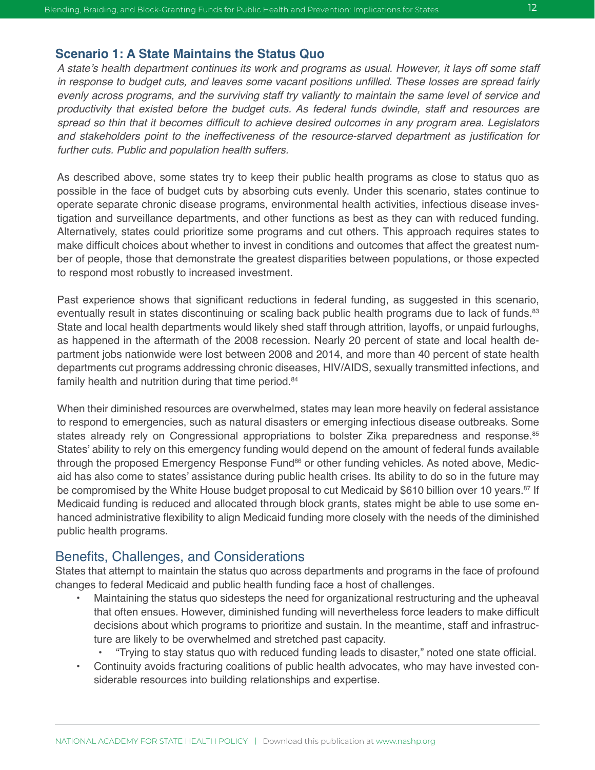#### **Scenario 1: A State Maintains the Status Quo**

A state's health department continues its work and programs as usual. However, it lays off some staff in response to budget cuts, and leaves some vacant positions unfilled. These losses are spread fairly *evenly across programs, and the surviving staff try valiantly to maintain the same level of service and productivity that existed before the budget cuts. As federal funds dwindle, staff and resources are*  spread so thin that it becomes difficult to achieve desired outcomes in any program area. Legislators and stakeholders point to the ineffectiveness of the resource-starved department as justification for *further cuts. Public and population health suffers.* 

As described above, some states try to keep their public health programs as close to status quo as possible in the face of budget cuts by absorbing cuts evenly. Under this scenario, states continue to operate separate chronic disease programs, environmental health activities, infectious disease investigation and surveillance departments, and other functions as best as they can with reduced funding. Alternatively, states could prioritize some programs and cut others. This approach requires states to make difficult choices about whether to invest in conditions and outcomes that affect the greatest number of people, those that demonstrate the greatest disparities between populations, or those expected to respond most robustly to increased investment.

Past experience shows that significant reductions in federal funding, as suggested in this scenario, eventually result in states discontinuing or scaling back public health programs due to lack of funds.<sup>83</sup> State and local health departments would likely shed staff through attrition, layoffs, or unpaid furloughs, as happened in the aftermath of the 2008 recession. Nearly 20 percent of state and local health department jobs nationwide were lost between 2008 and 2014, and more than 40 percent of state health departments cut programs addressing chronic diseases, HIV/AIDS, sexually transmitted infections, and family health and nutrition during that time period.<sup>84</sup>

When their diminished resources are overwhelmed, states may lean more heavily on federal assistance to respond to emergencies, such as natural disasters or emerging infectious disease outbreaks. Some states already rely on Congressional appropriations to bolster Zika preparedness and response.<sup>85</sup> States' ability to rely on this emergency funding would depend on the amount of federal funds available through the proposed Emergency Response Fund<sup>86</sup> or other funding vehicles. As noted above, Medicaid has also come to states' assistance during public health crises. Its ability to do so in the future may be compromised by the White House budget proposal to cut Medicaid by \$610 billion over 10 years.<sup>87</sup> If Medicaid funding is reduced and allocated through block grants, states might be able to use some enhanced administrative flexibility to align Medicaid funding more closely with the needs of the diminished public health programs.

#### Benefits, Challenges, and Considerations

States that attempt to maintain the status quo across departments and programs in the face of profound changes to federal Medicaid and public health funding face a host of challenges.

- Maintaining the status quo sidesteps the need for organizational restructuring and the upheaval that often ensues. However, diminished funding will nevertheless force leaders to make difficult decisions about which programs to prioritize and sustain. In the meantime, staff and infrastructure are likely to be overwhelmed and stretched past capacity.
	- "Trying to stay status quo with reduced funding leads to disaster," noted one state official.
- Continuity avoids fracturing coalitions of public health advocates, who may have invested considerable resources into building relationships and expertise.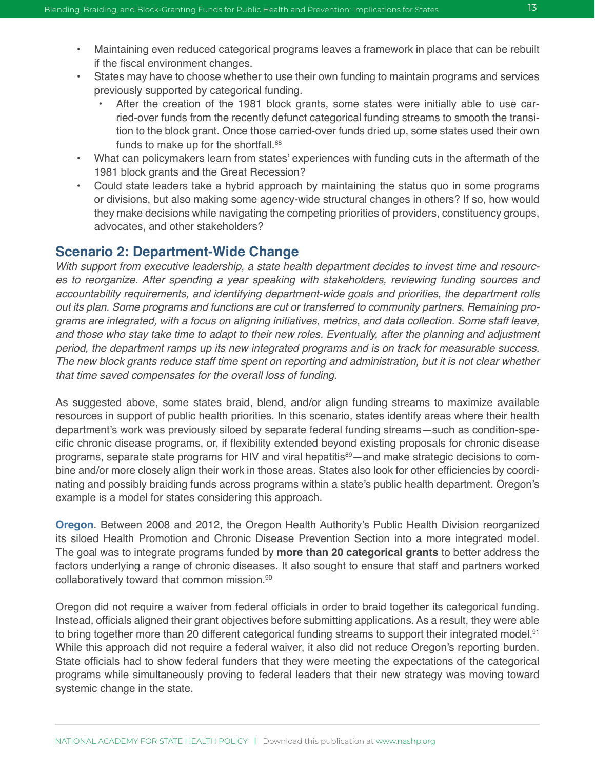- Maintaining even reduced categorical programs leaves a framework in place that can be rebuilt if the fiscal environment changes.
- States may have to choose whether to use their own funding to maintain programs and services previously supported by categorical funding.
	- After the creation of the 1981 block grants, some states were initially able to use carried-over funds from the recently defunct categorical funding streams to smooth the transition to the block grant. Once those carried-over funds dried up, some states used their own funds to make up for the shortfall.<sup>88</sup>
- What can policymakers learn from states' experiences with funding cuts in the aftermath of the 1981 block grants and the Great Recession?
- Could state leaders take a hybrid approach by maintaining the status quo in some programs or divisions, but also making some agency-wide structural changes in others? If so, how would they make decisions while navigating the competing priorities of providers, constituency groups, advocates, and other stakeholders?

#### **Scenario 2: Department-Wide Change**

*With support from executive leadership, a state health department decides to invest time and resources to reorganize. After spending a year speaking with stakeholders, reviewing funding sources and*  accountability requirements, and identifying department-wide goals and priorities, the department rolls *out its plan. Some programs and functions are cut or transferred to community partners. Remaining programs are integrated, with a focus on aligning initiatives, metrics, and data collection. Some staff leave,*  and those who stay take time to adapt to their new roles. Eventually, after the planning and adjustment *period, the department ramps up its new integrated programs and is on track for measurable success.*  The new block grants reduce staff time spent on reporting and administration, but it is not clear whether *that time saved compensates for the overall loss of funding.*

As suggested above, some states braid, blend, and/or align funding streams to maximize available resources in support of public health priorities. In this scenario, states identify areas where their health department's work was previously siloed by separate federal funding streams—such as condition-specific chronic disease programs, or, if flexibility extended beyond existing proposals for chronic disease programs, separate state programs for HIV and viral hepatitis<sup>89</sup>—and make strategic decisions to combine and/or more closely align their work in those areas. States also look for other efficiencies by coordinating and possibly braiding funds across programs within a state's public health department. Oregon's example is a model for states considering this approach.

**Oregon**. Between 2008 and 2012, the Oregon Health Authority's Public Health Division reorganized its siloed Health Promotion and Chronic Disease Prevention Section into a more integrated model. The goal was to integrate programs funded by **more than 20 categorical grants** to better address the factors underlying a range of chronic diseases. It also sought to ensure that staff and partners worked collaboratively toward that common mission.90

Oregon did not require a waiver from federal officials in order to braid together its categorical funding. Instead, officials aligned their grant objectives before submitting applications. As a result, they were able to bring together more than 20 different categorical funding streams to support their integrated model.<sup>91</sup> While this approach did not require a federal waiver, it also did not reduce Oregon's reporting burden. State officials had to show federal funders that they were meeting the expectations of the categorical programs while simultaneously proving to federal leaders that their new strategy was moving toward systemic change in the state.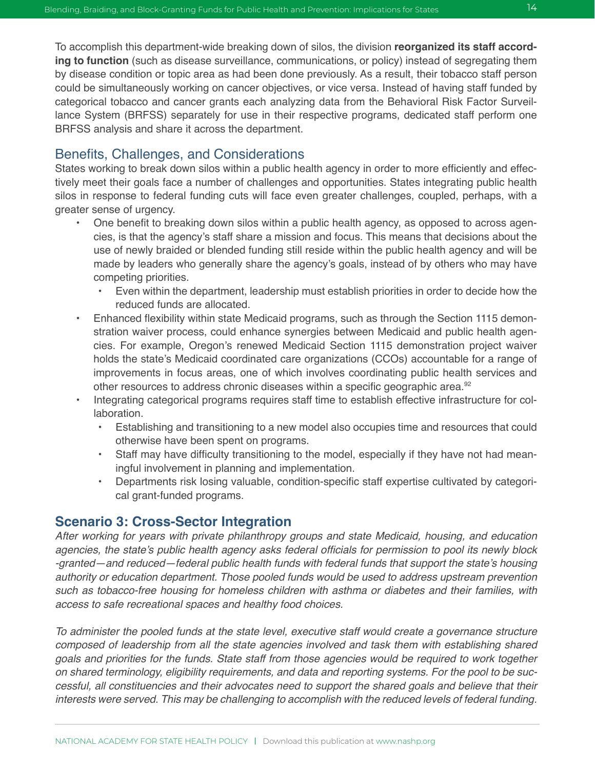by disease condition or topic area as had been done previously. As a result, their tobacco staff person could be simultaneously working on cancer objectives, or vice versa. Instead of having staff funded by categorical tobacco and cancer grants each analyzing data from the Behavioral Risk Factor Surveillance System (BRFSS) separately for use in their respective programs, dedicated staff perform one BRFSS analysis and share it across the department.

#### Benefits, Challenges, and Considerations

States working to break down silos within a public health agency in order to more efficiently and effectively meet their goals face a number of challenges and opportunities. States integrating public health silos in response to federal funding cuts will face even greater challenges, coupled, perhaps, with a greater sense of urgency.

- One benefit to breaking down silos within a public health agency, as opposed to across agencies, is that the agency's staff share a mission and focus. This means that decisions about the use of newly braided or blended funding still reside within the public health agency and will be made by leaders who generally share the agency's goals, instead of by others who may have competing priorities.
	- Even within the department, leadership must establish priorities in order to decide how the reduced funds are allocated.
- Enhanced flexibility within state Medicaid programs, such as through the Section 1115 demonstration waiver process, could enhance synergies between Medicaid and public health agencies. For example, Oregon's renewed Medicaid Section 1115 demonstration project waiver holds the state's Medicaid coordinated care organizations (CCOs) accountable for a range of improvements in focus areas, one of which involves coordinating public health services and other resources to address chronic diseases within a specific geographic area.<sup>92</sup>
- Integrating categorical programs requires staff time to establish effective infrastructure for collaboration.
	- Establishing and transitioning to a new model also occupies time and resources that could otherwise have been spent on programs.
	- Staff may have difficulty transitioning to the model, especially if they have not had meaningful involvement in planning and implementation.
	- Departments risk losing valuable, condition-specific staff expertise cultivated by categorical grant-funded programs.

### **Scenario 3: Cross-Sector Integration**

*After working for years with private philanthropy groups and state Medicaid, housing, and education*  agencies, the state's public health agency asks federal officials for permission to pool its newly block -granted—and reduced—federal public health funds with federal funds that support the state's housing authority or education department. Those pooled funds would be used to address upstream prevention such as tobacco-free housing for homeless children with asthma or diabetes and their families, with *access to safe recreational spaces and healthy food choices.* 

To administer the pooled funds at the state level, executive staff would create a governance structure *composed of leadership from all the state agencies involved and task them with establishing shared goals and priorities for the funds. State staff from those agencies would be required to work together on shared terminology, eligibility requirements, and data and reporting systems. For the pool to be successful, all constituencies and their advocates need to support the shared goals and believe that their*  interests were served. This may be challenging to accomplish with the reduced levels of federal funding.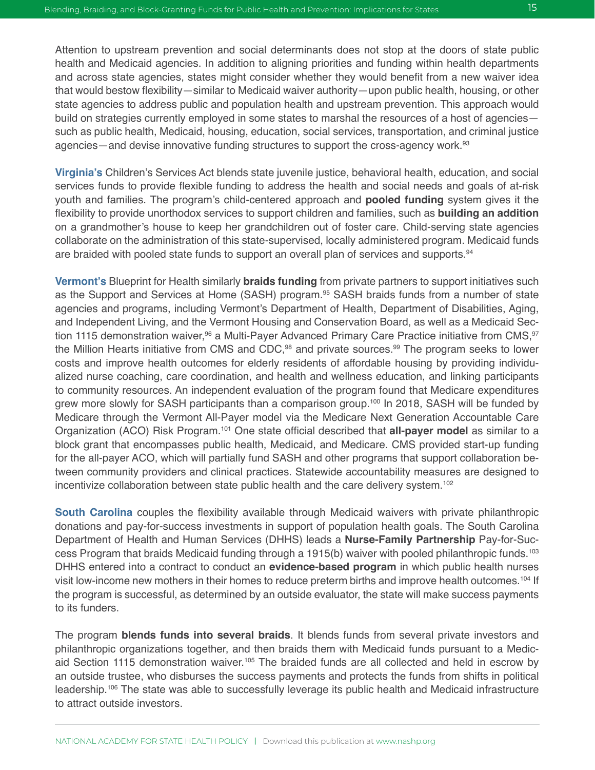Attention to upstream prevention and social determinants does not stop at the doors of state public health and Medicaid agencies. In addition to aligning priorities and funding within health departments and across state agencies, states might consider whether they would benefit from a new waiver idea that would bestow flexibility—similar to Medicaid waiver authority—upon public health, housing, or other state agencies to address public and population health and upstream prevention. This approach would build on strategies currently employed in some states to marshal the resources of a host of agencies such as public health, Medicaid, housing, education, social services, transportation, and criminal justice agencies—and devise innovative funding structures to support the cross-agency work.<sup>93</sup>

**Virginia's** Children's Services Act blends state juvenile justice, behavioral health, education, and social services funds to provide flexible funding to address the health and social needs and goals of at-risk youth and families. The program's child-centered approach and **pooled funding** system gives it the flexibility to provide unorthodox services to support children and families, such as **building an addition**  on a grandmother's house to keep her grandchildren out of foster care. Child-serving state agencies collaborate on the administration of this state-supervised, locally administered program. Medicaid funds are braided with pooled state funds to support an overall plan of services and supports.<sup>94</sup>

**Vermont's** Blueprint for Health similarly **braids funding** from private partners to support initiatives such as the Support and Services at Home (SASH) program.<sup>95</sup> SASH braids funds from a number of state agencies and programs, including Vermont's Department of Health, Department of Disabilities, Aging, and Independent Living, and the Vermont Housing and Conservation Board, as well as a Medicaid Section 1115 demonstration waiver,  $96$  a Multi-Payer Advanced Primary Care Practice initiative from CMS,  $97$ the Million Hearts initiative from CMS and CDC,<sup>98</sup> and private sources.<sup>99</sup> The program seeks to lower costs and improve health outcomes for elderly residents of affordable housing by providing individualized nurse coaching, care coordination, and health and wellness education, and linking participants to community resources. An independent evaluation of the program found that Medicare expenditures grew more slowly for SASH participants than a comparison group.<sup>100</sup> In 2018, SASH will be funded by Medicare through the Vermont All-Payer model via the Medicare Next Generation Accountable Care Organization (ACO) Risk Program.101 One state official described that **all-payer model** as similar to a block grant that encompasses public health, Medicaid, and Medicare. CMS provided start-up funding for the all-payer ACO, which will partially fund SASH and other programs that support collaboration between community providers and clinical practices. Statewide accountability measures are designed to incentivize collaboration between state public health and the care delivery system.<sup>102</sup>

**South Carolina** couples the flexibility available through Medicaid waivers with private philanthropic donations and pay-for-success investments in support of population health goals. The South Carolina Department of Health and Human Services (DHHS) leads a **Nurse-Family Partnership** Pay-for-Success Program that braids Medicaid funding through a 1915(b) waiver with pooled philanthropic funds.103 DHHS entered into a contract to conduct an **evidence-based program** in which public health nurses visit low-income new mothers in their homes to reduce preterm births and improve health outcomes.<sup>104</sup> If the program is successful, as determined by an outside evaluator, the state will make success payments to its funders.

The program **blends funds into several braids**. It blends funds from several private investors and philanthropic organizations together, and then braids them with Medicaid funds pursuant to a Medicaid Section 1115 demonstration waiver.105 The braided funds are all collected and held in escrow by an outside trustee, who disburses the success payments and protects the funds from shifts in political leadership.106 The state was able to successfully leverage its public health and Medicaid infrastructure to attract outside investors.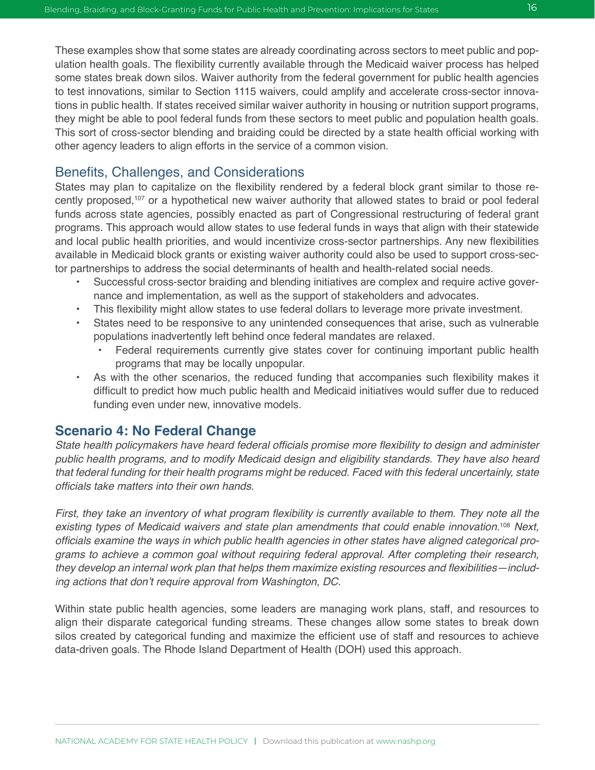These examples show that some states are already coordinating across sectors to meet public and population health goals. The flexibility currently available through the Medicaid waiver process has helped some states break down silos. Waiver authority from the federal government for public health agencies to test innovations, similar to Section 1115 waivers, could amplify and accelerate cross-sector innovations in public health. If states received similar waiver authority in housing or nutrition support programs, they might be able to pool federal funds from these sectors to meet public and population health goals. This sort of cross-sector blending and braiding could be directed by a state health official working with other agency leaders to align efforts in the service of a common vision.

#### Benefits, Challenges, and Considerations

States may plan to capitalize on the flexibility rendered by a federal block grant similar to those recently proposed,107 or a hypothetical new waiver authority that allowed states to braid or pool federal funds across state agencies, possibly enacted as part of Congressional restructuring of federal grant programs. This approach would allow states to use federal funds in ways that align with their statewide and local public health priorities, and would incentivize cross-sector partnerships. Any new flexibilities available in Medicaid block grants or existing waiver authority could also be used to support cross-sector partnerships to address the social determinants of health and health-related social needs.

- Successful cross-sector braiding and blending initiatives are complex and require active governance and implementation, as well as the support of stakeholders and advocates.
- This flexibility might allow states to use federal dollars to leverage more private investment.
- States need to be responsive to any unintended consequences that arise, such as vulnerable populations inadvertently left behind once federal mandates are relaxed.
	- Federal requirements currently give states cover for continuing important public health programs that may be locally unpopular.
- As with the other scenarios, the reduced funding that accompanies such flexibility makes it difficult to predict how much public health and Medicaid initiatives would suffer due to reduced funding even under new, innovative models.

#### **Scenario 4: No Federal Change**

State health policymakers have heard federal officials promise more flexibility to design and administer public health programs, and to modify Medicaid design and eligibility standards. They have also heard *that federal funding for their health programs might be reduced. Faced with this federal uncertainly, state*  officials take matters into their own hands.

First, they take an inventory of what program flexibility is currently available to them. They note all the *existing types of Medicaid waivers and state plan amendments that could enable innovation.*<sup>108</sup> *Next,*  officials examine the ways in which public health agencies in other states have aligned categorical pro*grams to achieve a common goal without requiring federal approval. After completing their research,*  they develop an internal work plan that helps them maximize existing resources and flexibilities—including actions that don't require approval from Washington, DC.

Within state public health agencies, some leaders are managing work plans, staff, and resources to align their disparate categorical funding streams. These changes allow some states to break down silos created by categorical funding and maximize the efficient use of staff and resources to achieve data-driven goals. The Rhode Island Department of Health (DOH) used this approach.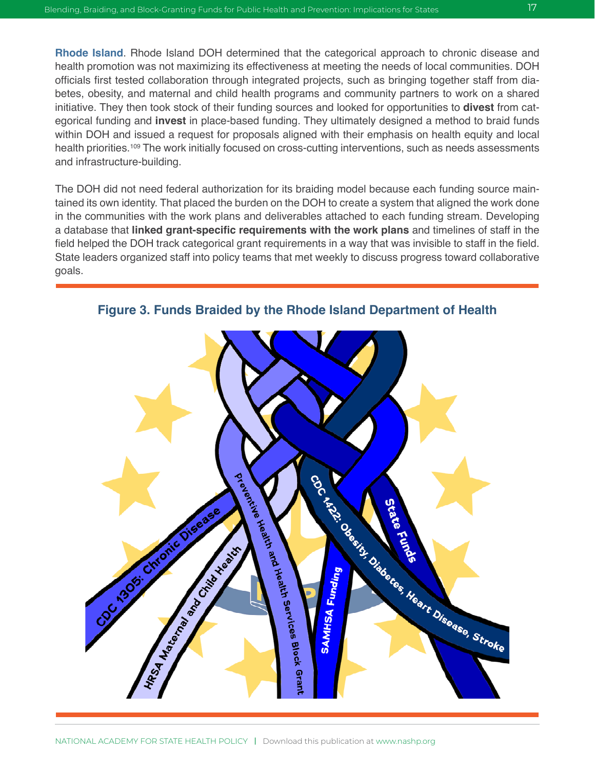**Rhode Island**. Rhode Island DOH determined that the categorical approach to chronic disease and health promotion was not maximizing its effectiveness at meeting the needs of local communities. DOH officials first tested collaboration through integrated projects, such as bringing together staff from diabetes, obesity, and maternal and child health programs and community partners to work on a shared initiative. They then took stock of their funding sources and looked for opportunities to **divest** from categorical funding and **invest** in place-based funding. They ultimately designed a method to braid funds within DOH and issued a request for proposals aligned with their emphasis on health equity and local health priorities.<sup>109</sup> The work initially focused on cross-cutting interventions, such as needs assessments and infrastructure-building.

The DOH did not need federal authorization for its braiding model because each funding source maintained its own identity. That placed the burden on the DOH to create a system that aligned the work done in the communities with the work plans and deliverables attached to each funding stream. Developing a database that **linked grant-specific requirements with the work plans** and timelines of staff in the field helped the DOH track categorical grant requirements in a way that was invisible to staff in the field. State leaders organized staff into policy teams that met weekly to discuss progress toward collaborative goals.



**Figure 3. Funds Braided by the Rhode Island Department of Health**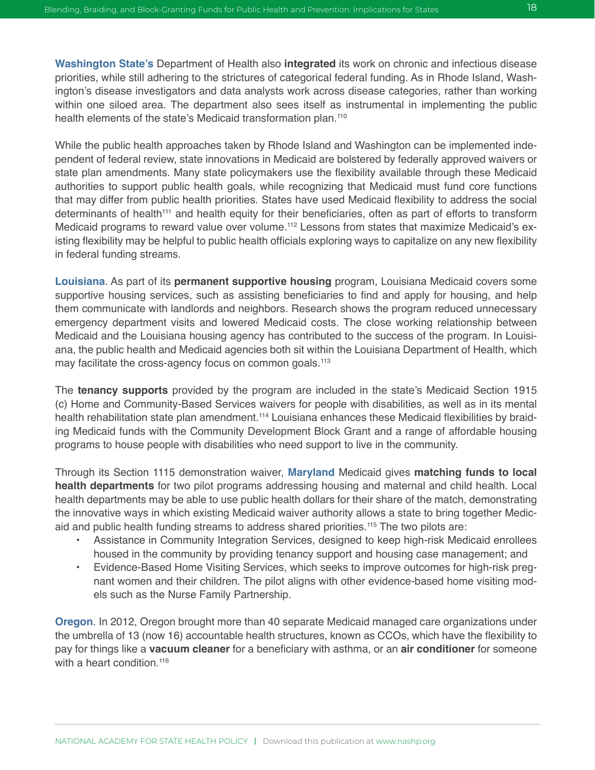**Washington State's** Department of Health also **integrated** its work on chronic and infectious disease priorities, while still adhering to the strictures of categorical federal funding. As in Rhode Island, Washington's disease investigators and data analysts work across disease categories, rather than working within one siloed area. The department also sees itself as instrumental in implementing the public health elements of the state's Medicaid transformation plan.<sup>110</sup>

While the public health approaches taken by Rhode Island and Washington can be implemented independent of federal review, state innovations in Medicaid are bolstered by federally approved waivers or state plan amendments. Many state policymakers use the flexibility available through these Medicaid authorities to support public health goals, while recognizing that Medicaid must fund core functions that may differ from public health priorities. States have used Medicaid flexibility to address the social determinants of health<sup>111</sup> and health equity for their beneficiaries, often as part of efforts to transform Medicaid programs to reward value over volume.<sup>112</sup> Lessons from states that maximize Medicaid's existing flexibility may be helpful to public health officials exploring ways to capitalize on any new flexibility in federal funding streams.

**Louisiana**. As part of its **permanent supportive housing** program, Louisiana Medicaid covers some supportive housing services, such as assisting beneficiaries to find and apply for housing, and help them communicate with landlords and neighbors. Research shows the program reduced unnecessary emergency department visits and lowered Medicaid costs. The close working relationship between Medicaid and the Louisiana housing agency has contributed to the success of the program. In Louisiana, the public health and Medicaid agencies both sit within the Louisiana Department of Health, which may facilitate the cross-agency focus on common goals.<sup>113</sup>

The **tenancy supports** provided by the program are included in the state's Medicaid Section 1915 (c) Home and Community-Based Services waivers for people with disabilities, as well as in its mental health rehabilitation state plan amendment.<sup>114</sup> Louisiana enhances these Medicaid flexibilities by braiding Medicaid funds with the Community Development Block Grant and a range of affordable housing programs to house people with disabilities who need support to live in the community.

Through its Section 1115 demonstration waiver, **Maryland** Medicaid gives **matching funds to local health departments** for two pilot programs addressing housing and maternal and child health. Local health departments may be able to use public health dollars for their share of the match, demonstrating the innovative ways in which existing Medicaid waiver authority allows a state to bring together Medicaid and public health funding streams to address shared priorities.115 The two pilots are:

- Assistance in Community Integration Services, designed to keep high-risk Medicaid enrollees housed in the community by providing tenancy support and housing case management; and
- Evidence-Based Home Visiting Services, which seeks to improve outcomes for high-risk pregnant women and their children. The pilot aligns with other evidence-based home visiting models such as the Nurse Family Partnership.

**Oregon**. In 2012, Oregon brought more than 40 separate Medicaid managed care organizations under the umbrella of 13 (now 16) accountable health structures, known as CCOs, which have the flexibility to pay for things like a **vacuum cleaner** for a beneficiary with asthma, or an **air conditioner** for someone with a heart condition.<sup>116</sup>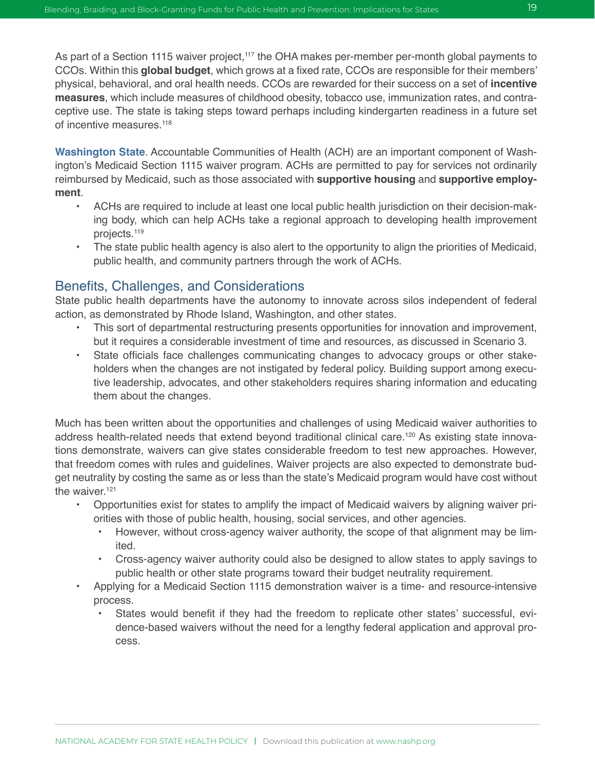As part of a Section 1115 waiver project,<sup>117</sup> the OHA makes per-member per-month global payments to CCOs. Within this **global budget**, which grows at a fixed rate, CCOs are responsible for their members' physical, behavioral, and oral health needs. CCOs are rewarded for their success on a set of **incentive measures**, which include measures of childhood obesity, tobacco use, immunization rates, and contraceptive use. The state is taking steps toward perhaps including kindergarten readiness in a future set of incentive measures.<sup>118</sup>

**Washington State**. Accountable Communities of Health (ACH) are an important component of Washington's Medicaid Section 1115 waiver program. ACHs are permitted to pay for services not ordinarily reimbursed by Medicaid, such as those associated with **supportive housing** and **supportive employment**.

- ACHs are required to include at least one local public health jurisdiction on their decision-making body, which can help ACHs take a regional approach to developing health improvement projects.119
- The state public health agency is also alert to the opportunity to align the priorities of Medicaid, public health, and community partners through the work of ACHs.

#### Benefits, Challenges, and Considerations

State public health departments have the autonomy to innovate across silos independent of federal action, as demonstrated by Rhode Island, Washington, and other states.

- This sort of departmental restructuring presents opportunities for innovation and improvement, but it requires a considerable investment of time and resources, as discussed in Scenario 3.
- State officials face challenges communicating changes to advocacy groups or other stakeholders when the changes are not instigated by federal policy. Building support among executive leadership, advocates, and other stakeholders requires sharing information and educating them about the changes.

Much has been written about the opportunities and challenges of using Medicaid waiver authorities to address health-related needs that extend beyond traditional clinical care.<sup>120</sup> As existing state innovations demonstrate, waivers can give states considerable freedom to test new approaches. However, that freedom comes with rules and guidelines. Waiver projects are also expected to demonstrate budget neutrality by costing the same as or less than the state's Medicaid program would have cost without the waiver.<sup>121</sup>

- Opportunities exist for states to amplify the impact of Medicaid waivers by aligning waiver priorities with those of public health, housing, social services, and other agencies.
	- However, without cross-agency waiver authority, the scope of that alignment may be limited.
	- Cross-agency waiver authority could also be designed to allow states to apply savings to public health or other state programs toward their budget neutrality requirement.
- Applying for a Medicaid Section 1115 demonstration waiver is a time- and resource-intensive process.
	- States would benefit if they had the freedom to replicate other states' successful, evidence-based waivers without the need for a lengthy federal application and approval process.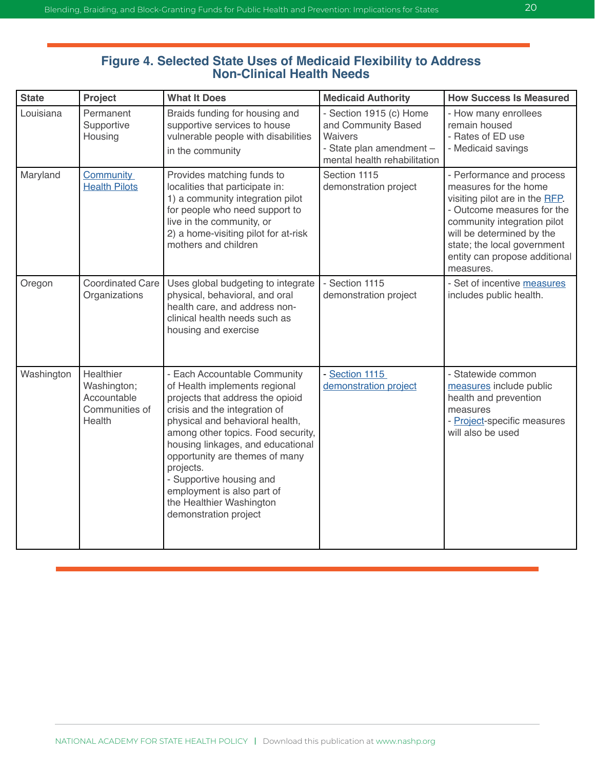#### **Figure 4. Selected State Uses of Medicaid Flexibility to Address Non-Clinical Health Needs**

| <b>State</b> | Project                                                             | <b>What It Does</b>                                                                                                                                                                                                                                                                                                                                                                                            | <b>Medicaid Authority</b>                                                                                             | <b>How Success Is Measured</b>                                                                                                                                                                                                                              |
|--------------|---------------------------------------------------------------------|----------------------------------------------------------------------------------------------------------------------------------------------------------------------------------------------------------------------------------------------------------------------------------------------------------------------------------------------------------------------------------------------------------------|-----------------------------------------------------------------------------------------------------------------------|-------------------------------------------------------------------------------------------------------------------------------------------------------------------------------------------------------------------------------------------------------------|
| Louisiana    | Permanent<br>Supportive<br>Housing                                  | Braids funding for housing and<br>supportive services to house<br>vulnerable people with disabilities<br>in the community                                                                                                                                                                                                                                                                                      | - Section 1915 (c) Home<br>and Community Based<br>Waivers<br>- State plan amendment -<br>mental health rehabilitation | - How many enrollees<br>remain housed<br>- Rates of ED use<br>- Medicaid savings                                                                                                                                                                            |
| Maryland     | <b>Community</b><br><b>Health Pilots</b>                            | Provides matching funds to<br>localities that participate in:<br>1) a community integration pilot<br>for people who need support to<br>live in the community, or<br>2) a home-visiting pilot for at-risk<br>mothers and children                                                                                                                                                                               | Section 1115<br>demonstration project                                                                                 | - Performance and process<br>measures for the home<br>visiting pilot are in the RFP.<br>- Outcome measures for the<br>community integration pilot<br>will be determined by the<br>state; the local government<br>entity can propose additional<br>measures. |
| Oregon       | <b>Coordinated Care</b><br>Organizations                            | Uses global budgeting to integrate<br>physical, behavioral, and oral<br>health care, and address non-<br>clinical health needs such as<br>housing and exercise                                                                                                                                                                                                                                                 | - Section 1115<br>demonstration project                                                                               | - Set of incentive measures<br>includes public health.                                                                                                                                                                                                      |
| Washington   | Healthier<br>Washington;<br>Accountable<br>Communities of<br>Health | - Each Accountable Community<br>of Health implements regional<br>projects that address the opioid<br>crisis and the integration of<br>physical and behavioral health,<br>among other topics. Food security,<br>housing linkages, and educational<br>opportunity are themes of many<br>projects.<br>- Supportive housing and<br>employment is also part of<br>the Healthier Washington<br>demonstration project | - Section 1115<br>demonstration project                                                                               | - Statewide common<br>measures include public<br>health and prevention<br>measures<br>- Project-specific measures<br>will also be used                                                                                                                      |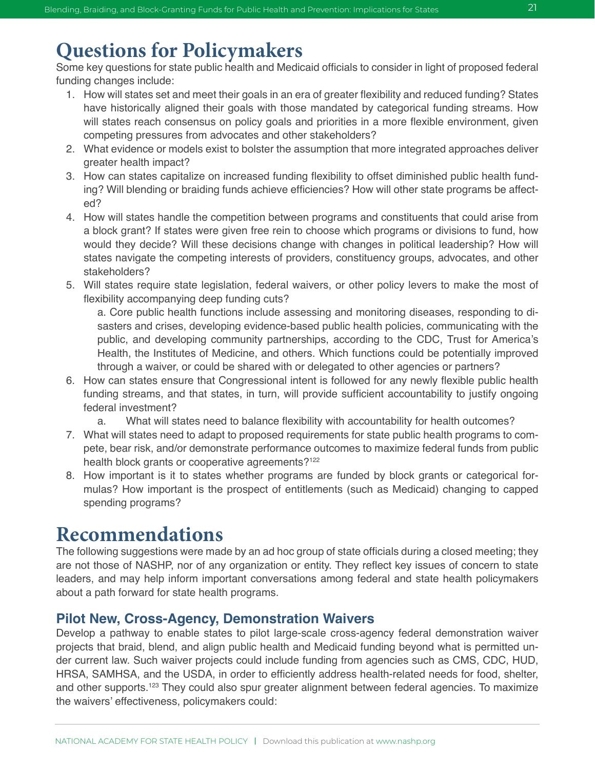## **Questions for Policymakers**

Some key questions for state public health and Medicaid officials to consider in light of proposed federal funding changes include:

- 1. How will states set and meet their goals in an era of greater flexibility and reduced funding? States have historically aligned their goals with those mandated by categorical funding streams. How will states reach consensus on policy goals and priorities in a more flexible environment, given competing pressures from advocates and other stakeholders?
- 2. What evidence or models exist to bolster the assumption that more integrated approaches deliver greater health impact?
- 3. How can states capitalize on increased funding flexibility to offset diminished public health funding? Will blending or braiding funds achieve efficiencies? How will other state programs be affected?
- 4. How will states handle the competition between programs and constituents that could arise from a block grant? If states were given free rein to choose which programs or divisions to fund, how would they decide? Will these decisions change with changes in political leadership? How will states navigate the competing interests of providers, constituency groups, advocates, and other stakeholders?
- 5. Will states require state legislation, federal waivers, or other policy levers to make the most of flexibility accompanying deep funding cuts?

a. Core public health functions include assessing and monitoring diseases, responding to disasters and crises, developing evidence-based public health policies, communicating with the public, and developing community partnerships, according to the CDC, Trust for America's Health, the Institutes of Medicine, and others. Which functions could be potentially improved through a waiver, or could be shared with or delegated to other agencies or partners?

- 6. How can states ensure that Congressional intent is followed for any newly flexible public health funding streams, and that states, in turn, will provide sufficient accountability to justify ongoing federal investment?
	- a. What will states need to balance flexibility with accountability for health outcomes?
- 7. What will states need to adapt to proposed requirements for state public health programs to compete, bear risk, and/or demonstrate performance outcomes to maximize federal funds from public health block grants or cooperative agreements?<sup>122</sup>
- 8. How important is it to states whether programs are funded by block grants or categorical formulas? How important is the prospect of entitlements (such as Medicaid) changing to capped spending programs?

## **Recommendations**

The following suggestions were made by an ad hoc group of state officials during a closed meeting; they are not those of NASHP, nor of any organization or entity. They reflect key issues of concern to state leaders, and may help inform important conversations among federal and state health policymakers about a path forward for state health programs.

#### **Pilot New, Cross-Agency, Demonstration Waivers**

Develop a pathway to enable states to pilot large-scale cross-agency federal demonstration waiver projects that braid, blend, and align public health and Medicaid funding beyond what is permitted under current law. Such waiver projects could include funding from agencies such as CMS, CDC, HUD, HRSA, SAMHSA, and the USDA, in order to efficiently address health-related needs for food, shelter, and other supports.<sup>123</sup> They could also spur greater alignment between federal agencies. To maximize the waivers' effectiveness, policymakers could: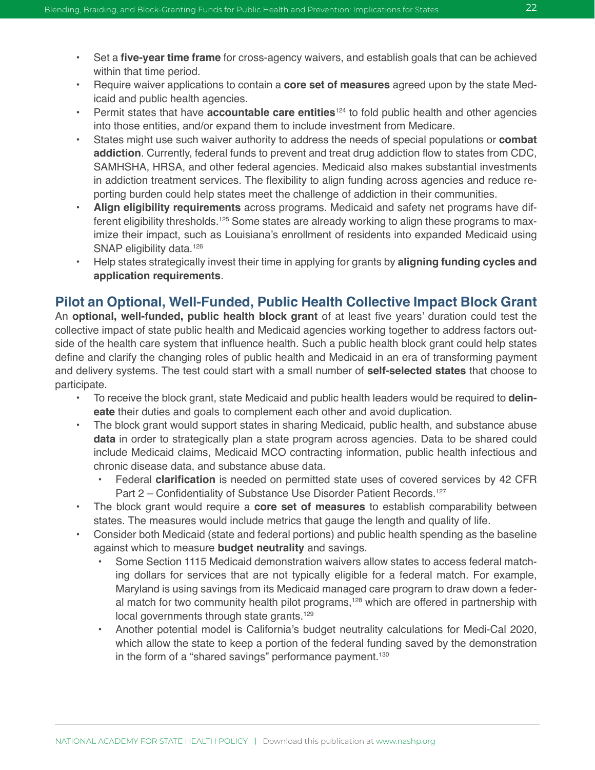- Set a **five-year time frame** for cross-agency waivers, and establish goals that can be achieved within that time period.
- Require waiver applications to contain a **core set of measures** agreed upon by the state Medicaid and public health agencies.
- Permit states that have **accountable care entities**<sup>124</sup> to fold public health and other agencies into those entities, and/or expand them to include investment from Medicare.
- States might use such waiver authority to address the needs of special populations or **combat addiction**. Currently, federal funds to prevent and treat drug addiction flow to states from CDC, SAMHSHA, HRSA, and other federal agencies. Medicaid also makes substantial investments in addiction treatment services. The flexibility to align funding across agencies and reduce reporting burden could help states meet the challenge of addiction in their communities.
- **• Align eligibility requirements** across programs. Medicaid and safety net programs have different eligibility thresholds.125 Some states are already working to align these programs to maximize their impact, such as Louisiana's enrollment of residents into expanded Medicaid using SNAP eligibility data.<sup>126</sup>
- Help states strategically invest their time in applying for grants by **aligning funding cycles and application requirements**.

#### **Pilot an Optional, Well-Funded, Public Health Collective Impact Block Grant**

An **optional, well-funded, public health block grant** of at least five years' duration could test the collective impact of state public health and Medicaid agencies working together to address factors outside of the health care system that influence health. Such a public health block grant could help states define and clarify the changing roles of public health and Medicaid in an era of transforming payment and delivery systems. The test could start with a small number of **self-selected states** that choose to participate.

- To receive the block grant, state Medicaid and public health leaders would be required to **delineate** their duties and goals to complement each other and avoid duplication.
- The block grant would support states in sharing Medicaid, public health, and substance abuse **data** in order to strategically plan a state program across agencies. Data to be shared could include Medicaid claims, Medicaid MCO contracting information, public health infectious and chronic disease data, and substance abuse data.
	- Federal **clarification** is needed on permitted state uses of covered services by 42 CFR Part 2 – Confidentiality of Substance Use Disorder Patient Records.<sup>127</sup>
- The block grant would require a **core set of measures** to establish comparability between states. The measures would include metrics that gauge the length and quality of life.
- Consider both Medicaid (state and federal portions) and public health spending as the baseline against which to measure **budget neutrality** and savings.
	- Some Section 1115 Medicaid demonstration waivers allow states to access federal matching dollars for services that are not typically eligible for a federal match. For example, Maryland is using savings from its Medicaid managed care program to draw down a federal match for two community health pilot programs,<sup>128</sup> which are offered in partnership with local governments through state grants.<sup>129</sup>
	- Another potential model is California's budget neutrality calculations for Medi-Cal 2020, which allow the state to keep a portion of the federal funding saved by the demonstration in the form of a "shared savings" performance payment.<sup>130</sup>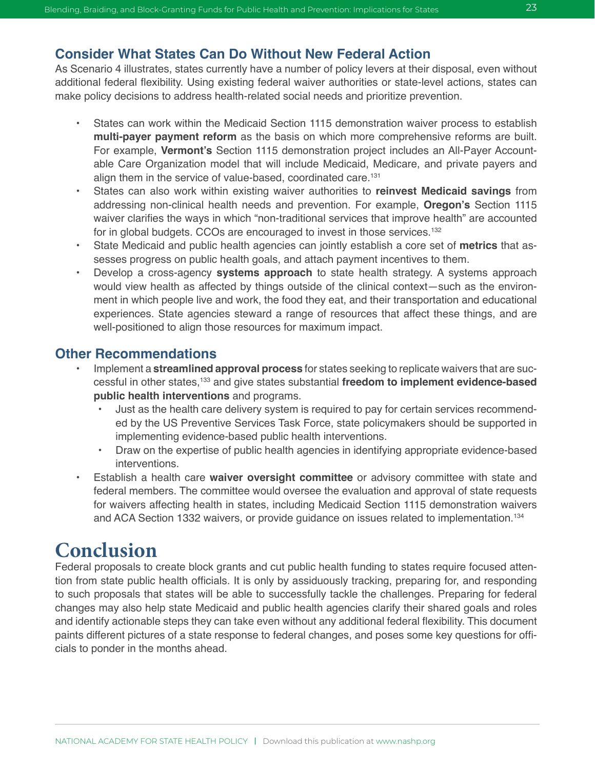#### **Consider What States Can Do Without New Federal Action**

As Scenario 4 illustrates, states currently have a number of policy levers at their disposal, even without additional federal flexibility. Using existing federal waiver authorities or state-level actions, states can make policy decisions to address health-related social needs and prioritize prevention.

- States can work within the Medicaid Section 1115 demonstration waiver process to establish **multi-payer payment reform** as the basis on which more comprehensive reforms are built. For example, **Vermont's** Section 1115 demonstration project includes an All-Payer Accountable Care Organization model that will include Medicaid, Medicare, and private payers and align them in the service of value-based, coordinated care.<sup>131</sup>
- States can also work within existing waiver authorities to **reinvest Medicaid savings** from addressing non-clinical health needs and prevention. For example, **Oregon's** Section 1115 waiver clarifies the ways in which "non-traditional services that improve health" are accounted for in global budgets. CCOs are encouraged to invest in those services.132
- State Medicaid and public health agencies can jointly establish a core set of **metrics** that assesses progress on public health goals, and attach payment incentives to them.
- Develop a cross-agency **systems approach** to state health strategy. A systems approach would view health as affected by things outside of the clinical context—such as the environment in which people live and work, the food they eat, and their transportation and educational experiences. State agencies steward a range of resources that affect these things, and are well-positioned to align those resources for maximum impact.

#### **Other Recommendations**

- Implement a **streamlined approval process** for states seeking to replicate waivers that are successful in other states,133 and give states substantial **freedom to implement evidence-based public health interventions** and programs.
	- Just as the health care delivery system is required to pay for certain services recommended by the US Preventive Services Task Force, state policymakers should be supported in implementing evidence-based public health interventions.
	- Draw on the expertise of public health agencies in identifying appropriate evidence-based interventions.
- Establish a health care **waiver oversight committee** or advisory committee with state and federal members. The committee would oversee the evaluation and approval of state requests for waivers affecting health in states, including Medicaid Section 1115 demonstration waivers and ACA Section 1332 waivers, or provide guidance on issues related to implementation.134

## **Conclusion**

Federal proposals to create block grants and cut public health funding to states require focused attention from state public health officials. It is only by assiduously tracking, preparing for, and responding to such proposals that states will be able to successfully tackle the challenges. Preparing for federal changes may also help state Medicaid and public health agencies clarify their shared goals and roles and identify actionable steps they can take even without any additional federal flexibility. This document paints different pictures of a state response to federal changes, and poses some key questions for officials to ponder in the months ahead.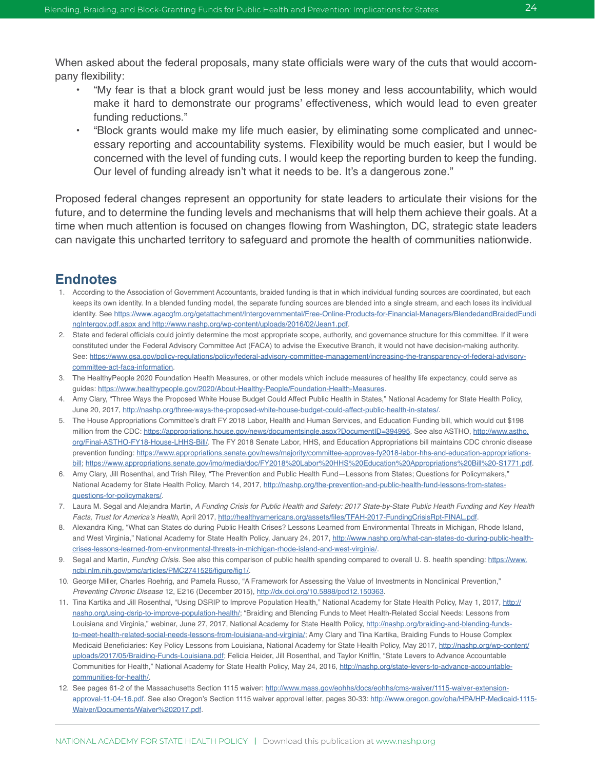When asked about the federal proposals, many state officials were wary of the cuts that would accompany flexibility:

- "My fear is that a block grant would just be less money and less accountability, which would make it hard to demonstrate our programs' effectiveness, which would lead to even greater funding reductions."
- "Block grants would make my life much easier, by eliminating some complicated and unnecessary reporting and accountability systems. Flexibility would be much easier, but I would be concerned with the level of funding cuts. I would keep the reporting burden to keep the funding. Our level of funding already isn't what it needs to be. It's a dangerous zone."

Proposed federal changes represent an opportunity for state leaders to articulate their visions for the future, and to determine the funding levels and mechanisms that will help them achieve their goals. At a time when much attention is focused on changes flowing from Washington, DC, strategic state leaders can navigate this uncharted territory to safeguard and promote the health of communities nationwide.

#### **Endnotes**

- 1. According to the Association of Government Accountants, braided funding is that in which individual funding sources are coordinated, but each keeps its own identity. In a blended funding model, the separate funding sources are blended into a single stream, and each loses its individual identity. See [https://www.agacgfm.org/getattachment/Intergovernmental/Free-Online-Products-for-Financial-Managers/BlendedandBraidedFundi](https://www.agacgfm.org/getattachment/Intergovernmental/Free-Online-Products-for-Financial-Managers/BlendedandBraidedFundingIntergov.pdf.aspx and http://www.nashp.org/wp-content/uploads/2016/02/Jean1.pdf) [ngIntergov.pdf.aspx and http://www.nashp.org/wp-content/uploads/2016/02/Jean1.pdf](https://www.agacgfm.org/getattachment/Intergovernmental/Free-Online-Products-for-Financial-Managers/BlendedandBraidedFundingIntergov.pdf.aspx and http://www.nashp.org/wp-content/uploads/2016/02/Jean1.pdf).
- 2. State and federal officials could jointly determine the most appropriate scope, authority, and governance structure for this committee. If it were constituted under the Federal Advisory Committee Act (FACA) to advise the Executive Branch, it would not have decision-making authority. See: [https://www.gsa.gov/policy-regulations/policy/federal-advisory-committee-management/increasing-the-transparency-of-federal-advisory](https://www.gsa.gov/policy-regulations/policy/federal-advisory-committee-management/increasing-the-transparency-of-federal-advisory-committee-act-faca-information)[committee-act-faca-information](https://www.gsa.gov/policy-regulations/policy/federal-advisory-committee-management/increasing-the-transparency-of-federal-advisory-committee-act-faca-information).
- 3. The HealthyPeople 2020 Foundation Health Measures, or other models which include measures of healthy life expectancy, could serve as guides: [https://www.healthypeople.gov/2020/About-Healthy-People/Foundation-Health-Measures.](https://www.healthypeople.gov/2020/About-Healthy-People/Foundation-Health-Measures)
- 4. Amy Clary, "Three Ways the Proposed White House Budget Could Affect Public Health in States," National Academy for State Health Policy, June 20, 2017,<http://nashp.org/three-ways-the-proposed-white-house-budget-could-affect-public-health-in-states/>.
- 5. The House Appropriations Committee's draft FY 2018 Labor, Health and Human Services, and Education Funding bill, which would cut \$198 million from the CDC:<https://appropriations.house.gov/news/documentsingle.aspx?DocumentID=394995>. See also ASTHO, [http://www.astho.](http://www.astho.org/Final-ASTHO-FY18-House-LHHS-Bill/) [org/Final-ASTHO-FY18-House-LHHS-Bill/.](http://www.astho.org/Final-ASTHO-FY18-House-LHHS-Bill/) The FY 2018 Senate Labor, HHS, and Education Appropriations bill maintains CDC chronic disease prevention funding: [https://www.appropriations.senate.gov/news/majority/committee-approves-fy2018-labor-hhs-and-education-appropriations](https://www.appropriations.senate.gov/news/majority/committee-approves-fy2018-labor-hhs-and-education-appropriations-bill)[bill;](https://www.appropriations.senate.gov/news/majority/committee-approves-fy2018-labor-hhs-and-education-appropriations-bill)<https://www.appropriations.senate.gov/imo/media/doc/FY2018%20Labor%20HHS%20Education%20Appropriations%20Bill%20-S1771.pdf>.
- 6. Amy Clary, Jill Rosenthal, and Trish Riley, "The Prevention and Public Health Fund—Lessons from States; Questions for Policymakers," National Academy for State Health Policy, March 14, 2017, [http://nashp.org/the-prevention-and-public-health-fund-lessons-from-states](http://nashp.org/the-prevention-and-public-health-fund-lessons-from-states-questions-for-policymakers/)[questions-for-policymakers/](http://nashp.org/the-prevention-and-public-health-fund-lessons-from-states-questions-for-policymakers/).
- 7. Laura M. Segal and Alejandra Martin, A Funding Crisis for Public Health and Safety: 2017 State-by-State Public Health Funding and Key Health Facts, Trust for America's Health, April 2017, <http://healthyamericans.org/assets/files/TFAH-2017-FundingCrisisRpt-FINAL.pdf>.
- 8. Alexandra King, "What can States do during Public Health Crises? Lessons Learned from Environmental Threats in Michigan, Rhode Island, and West Virginia," National Academy for State Health Policy, January 24, 2017, [http://www.nashp.org/what-can-states-do-during-public-health](http://www.nashp.org/what-can-states-do-during-public-health-crises-lessons-learned-from-environmental-threats-in-michigan-rhode-island-and-west-virginia/)[crises-lessons-learned-from-environmental-threats-in-michigan-rhode-island-and-west-virginia/](http://www.nashp.org/what-can-states-do-during-public-health-crises-lessons-learned-from-environmental-threats-in-michigan-rhode-island-and-west-virginia/).
- 9. Segal and Martin, *Funding Crisis*. See also this comparison of public health spending compared to overall U. S. health spending: [https://www.](https://www.ncbi.nlm.nih.gov/pmc/articles/PMC2741526/figure/fig1/) [ncbi.nlm.nih.gov/pmc/articles/PMC2741526/figure/fig1/](https://www.ncbi.nlm.nih.gov/pmc/articles/PMC2741526/figure/fig1/).
- 10. George Miller, Charles Roehrig, and Pamela Russo, "A Framework for Assessing the Value of Investments in Nonclinical Prevention," *Preventing Chronic Disease* 12, E216 (December 2015), [http://dx.doi.org/10.5888/pcd12.150363.](http://dx.doi.org/10.5888/pcd12.150363)
- 11. Tina Kartika and Jill Rosenthal, "Using DSRIP to Improve Population Health," National Academy for State Health Policy, May 1, 2017, [http://](http://nashp.org/using-dsrip-to-improve-population-health/) [nashp.org/using-dsrip-to-improve-population-health/;](http://nashp.org/using-dsrip-to-improve-population-health/) "Braiding and Blending Funds to Meet Health-Related Social Needs: Lessons from Louisiana and Virginia," webinar, June 27, 2017, National Academy for State Health Policy, [http://nashp.org/braiding-and-blending-funds](http://nashp.org/braiding-and-blending-funds-to-meet-health-related-social-needs-lessons-from-louisiana-and-virginia/)[to-meet-health-related-social-needs-lessons-from-louisiana-and-virginia/;](http://nashp.org/braiding-and-blending-funds-to-meet-health-related-social-needs-lessons-from-louisiana-and-virginia/) Amy Clary and Tina Kartika, Braiding Funds to House Complex Medicaid Beneficiaries: Key Policy Lessons from Louisiana, National Academy for State Health Policy, May 2017, [http://nashp.org/wp-content/](http://nashp.org/wp-content/uploads/2017/05/Braiding-Funds-Louisiana.pdf) [uploads/2017/05/Braiding-Funds-Louisiana.pdf](http://nashp.org/wp-content/uploads/2017/05/Braiding-Funds-Louisiana.pdf); Felicia Heider, Jill Rosenthal, and Taylor Kniffin, "State Levers to Advance Accountable Communities for Health," National Academy for State Health Policy, May 24, 2016, [http://nashp.org/state-levers-to-advance-accountable](http://nashp.org/state-levers-to-advance-accountable-communities-for-health/)[communities-for-health/](http://nashp.org/state-levers-to-advance-accountable-communities-for-health/).
- 12. See pages 61-2 of the Massachusetts Section 1115 waiver: [http://www.mass.gov/eohhs/docs/eohhs/cms-waiver/1115-waiver-extension](http://www.mass.gov/eohhs/docs/eohhs/cms-waiver/1115-waiver-extension-approval-11-04-16.pdf)[approval-11-04-16.pdf.](http://www.mass.gov/eohhs/docs/eohhs/cms-waiver/1115-waiver-extension-approval-11-04-16.pdf) See also Oregon's Section 1115 waiver approval letter, pages 30-33: [http://www.oregon.gov/oha/HPA/HP-Medicaid-1115-](http://www.oregon.gov/oha/HPA/HP-Medicaid-1115-Waiver/Documents/Waiver%202017.pdf) [Waiver/Documents/Waiver%202017.pdf](http://www.oregon.gov/oha/HPA/HP-Medicaid-1115-Waiver/Documents/Waiver%202017.pdf).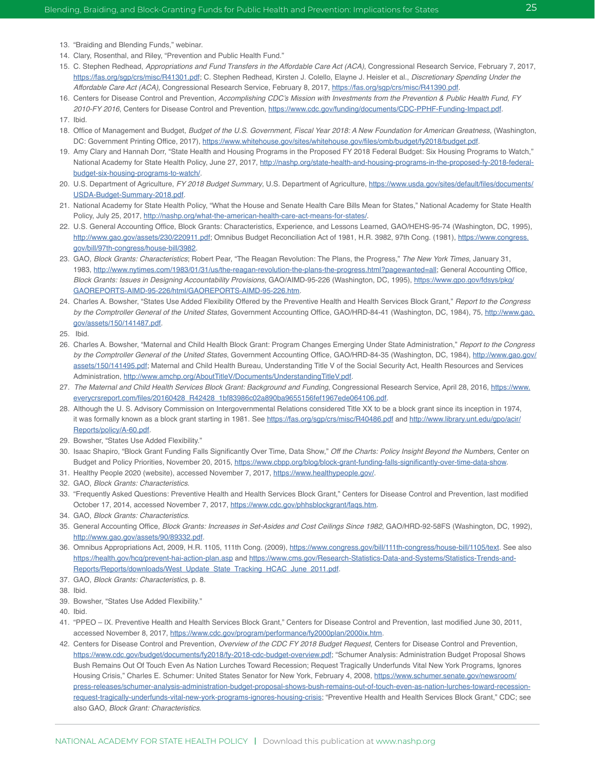- 13. "Braiding and Blending Funds," webinar.
- 14. Clary, Rosenthal, and Riley, "Prevention and Public Health Fund."
- 15. C. Stephen Redhead, Appropriations and Fund Transfers in the Affordable Care Act (ACA), Congressional Research Service, February 7, 2017, [https://fas.org/sgp/crs/misc/R41301.pdf;](https://fas.org/sgp/crs/misc/R41301.pdf) C. Stephen Redhead, Kirsten J. Colello, Elayne J. Heisler et al., *Discretionary Spending Under the*  Affordable Care Act (ACA), Congressional Research Service, February 8, 2017, [https://fas.org/sgp/crs/misc/R41390.pdf.](https://fas.org/sgp/crs/misc/R41390.pdf)
- 16. Centers for Disease Control and Prevention, Accomplishing CDC's Mission with Investments from the Prevention & Public Health Fund, FY 2010-FY 2016, Centers for Disease Control and Prevention,<https://www.cdc.gov/funding/documents/CDC-PPHF-Funding-Impact.pdf>.
- 17. Ibid.
- 18. Office of Management and Budget, Budget of the U.S. Government, Fiscal Year 2018: A New Foundation for American Greatness, (Washington, DC: Government Printing Office, 2017), <https://www.whitehouse.gov/sites/whitehouse.gov/files/omb/budget/fy2018/budget.pdf>.
- 19. Amy Clary and Hannah Dorr, "State Health and Housing Programs in the Proposed FY 2018 Federal Budget: Six Housing Programs to Watch," National Academy for State Health Policy, June 27, 2017, [http://nashp.org/state-health-and-housing-programs-in-the-proposed-fy-2018-federal](http://nashp.org/state-health-and-housing-programs-in-the-proposed-fy-2018-federal-budget-six-housing-programs-to-watch/)[budget-six-housing-programs-to-watch/](http://nashp.org/state-health-and-housing-programs-in-the-proposed-fy-2018-federal-budget-six-housing-programs-to-watch/).
- 20. U.S. Department of Agriculture, FY 2018 Budget Summary, U.S. Department of Agriculture, [https://www.usda.gov/sites/default/files/documents/](https://www.usda.gov/sites/default/files/documents/USDA-Budget-Summary-2018.pdf) [USDA-Budget-Summary-2018.pdf.](https://www.usda.gov/sites/default/files/documents/USDA-Budget-Summary-2018.pdf)
- 21. National Academy for State Health Policy, "What the House and Senate Health Care Bills Mean for States," National Academy for State Health Policy, July 25, 2017, [http://nashp.org/what-the-american-health-care-act-means-for-states/.](http://nashp.org/what-the-american-health-care-act-means-for-states/)
- 22. U.S. General Accounting Office, Block Grants: Characteristics, Experience, and Lessons Learned, GAO/HEHS-95-74 (Washington, DC, 1995), <http://www.gao.gov/assets/230/220911.pdf>; Omnibus Budget Reconciliation Act of 1981, H.R. 3982, 97th Cong. (1981), [https://www.congress.](https://www.congress.gov/bill/97th-congress/house-bill/3982) [gov/bill/97th-congress/house-bill/3982](https://www.congress.gov/bill/97th-congress/house-bill/3982).
- 23. GAO, Block Grants: Characteristics; Robert Pear, "The Reagan Revolution: The Plans, the Progress," The New York Times, January 31, 1983,<http://www.nytimes.com/1983/01/31/us/the-reagan-revolution-the-plans-the-progress.html?pagewanted=all>; General Accounting Office, Block Grants: Issues in Designing Accountability Provisions, GAO/AIMD-95-226 (Washington, DC, 1995), [https://www.gpo.gov/fdsys/pkg/](https://www.gpo.gov/fdsys/pkg/GAOREPORTS-AIMD-95-226/html/GAOREPORTS-AIMD-95-226.htm) [GAOREPORTS-AIMD-95-226/html/GAOREPORTS-AIMD-95-226.htm](https://www.gpo.gov/fdsys/pkg/GAOREPORTS-AIMD-95-226/html/GAOREPORTS-AIMD-95-226.htm).
- 24. Charles A. Bowsher, "States Use Added Flexibility Offered by the Preventive Health and Health Services Block Grant," *Report to the Congress*  by the Comptroller General of the United States, Government Accounting Office, GAO/HRD-84-41 (Washington, DC, 1984), 75, [http://www.gao.](http://www.gao.gov/assets/150/141487.pdf) [gov/assets/150/141487.pdf.](http://www.gao.gov/assets/150/141487.pdf)
- 25. Ibid.
- 26. Charles A. Bowsher, "Maternal and Child Health Block Grant: Program Changes Emerging Under State Administration," *Report to the Congress*  by the Comptroller General of the United States, Government Accounting Office, GAO/HRD-84-35 (Washington, DC, 1984), [http://www.gao.gov/](http://www.gao.gov/assets/150/141495.pdf) [assets/150/141495.pdf](http://www.gao.gov/assets/150/141495.pdf); Maternal and Child Health Bureau, Understanding Title V of the Social Security Act, Health Resources and Services Administration, [http://www.amchp.org/AboutTitleV/Documents/UnderstandingTitleV.pdf.](http://www.amchp.org/AboutTitleV/Documents/UnderstandingTitleV.pdf)
- 27. The Maternal and Child Health Services Block Grant: Background and Funding, Congressional Research Service, April 28, 2016, [https://www.](https://www.everycrsreport.com/files/20160428_R42428_1bf83986c02a890ba9655156fef1967ede064106.pdf) [everycrsreport.com/files/20160428\\_R42428\\_1bf83986c02a890ba9655156fef1967ede064106.pdf.](https://www.everycrsreport.com/files/20160428_R42428_1bf83986c02a890ba9655156fef1967ede064106.pdf)
- 28. Although the U. S. Advisory Commission on Intergovernmental Relations considered Title XX to be a block grant since its inception in 1974, it was formally known as a block grant starting in 1981. See <https://fas.org/sgp/crs/misc/R40486.pdf>and [http://www.library.unt.edu/gpo/acir/](http://www.library.unt.edu/gpo/acir/Reports/policy/A-60.pdf) [Reports/policy/A-60.pdf](http://www.library.unt.edu/gpo/acir/Reports/policy/A-60.pdf).
- 29. Bowsher, "States Use Added Flexibility."
- 30. Isaac Shapiro, "Block Grant Funding Falls Significantly Over Time, Data Show," Off the Charts: Policy Insight Beyond the Numbers, Center on Budget and Policy Priorities, November 20, 2015,<https://www.cbpp.org/blog/block-grant-funding-falls-significantly-over-time-data-show>.
- 31. Healthy People 2020 (website), accessed November 7, 2017, [https://www.healthypeople.gov/.](https://www.healthypeople.gov/)
- 32. GAO, Block Grants: Characteristics.
- 33. "Frequently Asked Questions: Preventive Health and Health Services Block Grant," Centers for Disease Control and Prevention, last modified October 17, 2014, accessed November 7, 2017,<https://www.cdc.gov/phhsblockgrant/faqs.htm>.
- 34. GAO, Block Grants: Characteristics.
- 35. General Accounting Office, Block Grants: Increases in Set-Asides and Cost Ceilings Since 1982, GAO/HRD-92-58FS (Washington, DC, 1992), [http://www.gao.gov/assets/90/89332.pdf.](http://www.gao.gov/assets/90/89332.pdf)
- 36. Omnibus Appropriations Act, 2009, H.R. 1105, 111th Cong. (2009), [https://www.congress.gov/bill/111th-congress/house-bill/1105/text.](https://www.congress.gov/bill/111th-congress/house-bill/1105/text) See also <https://health.gov/hcq/prevent-hai-action-plan.asp>and [https://www.cms.gov/Research-Statistics-Data-and-Systems/Statistics-Trends-and-](https://www.cms.gov/Research-Statistics-Data-and-Systems/Statistics-Trends-and-Reports/Reports/downloads/West_Update_State_Tracking_HCAC_June_2011.pdf)[Reports/Reports/downloads/West\\_Update\\_State\\_Tracking\\_HCAC\\_June\\_2011.pdf](https://www.cms.gov/Research-Statistics-Data-and-Systems/Statistics-Trends-and-Reports/Reports/downloads/West_Update_State_Tracking_HCAC_June_2011.pdf).
- 37. GAO, Block Grants: Characteristics, p. 8.
- 38. Ibid.
- 39. Bowsher, "States Use Added Flexibility."
- 40. Ibid.
- 41. "PPEO IX. Preventive Health and Health Services Block Grant," Centers for Disease Control and Prevention, last modified June 30, 2011, accessed November 8, 2017,<https://www.cdc.gov/program/performance/fy2000plan/2000ix.htm>.
- 42. Centers for Disease Control and Prevention, Overview of the CDC FY 2018 Budget Request, Centers for Disease Control and Prevention, <https://www.cdc.gov/budget/documents/fy2018/fy-2018-cdc-budget-overview.pdf>; "Schumer Analysis: Administration Budget Proposal Shows Bush Remains Out Of Touch Even As Nation Lurches Toward Recession; Request Tragically Underfunds Vital New York Programs, Ignores Housing Crisis," Charles E. Schumer: United States Senator for New York, February 4, 2008, [https://www.schumer.senate.gov/newsroom/](https://www.schumer.senate.gov/newsroom/press-releases/schumer-analysis-administration-budget-proposal-shows-bush-remains-out-of-touch-even-as-nation-lurches-toward-recession-request-tragically-underfunds-vital-new-york-programs-ignores-housing-crisis) [press-releases/schumer-analysis-administration-budget-proposal-shows-bush-remains-out-of-touch-even-as-nation-lurches-toward-recession](https://www.schumer.senate.gov/newsroom/press-releases/schumer-analysis-administration-budget-proposal-shows-bush-remains-out-of-touch-even-as-nation-lurches-toward-recession-request-tragically-underfunds-vital-new-york-programs-ignores-housing-crisis)[request-tragically-underfunds-vital-new-york-programs-ignores-housing-crisis](https://www.schumer.senate.gov/newsroom/press-releases/schumer-analysis-administration-budget-proposal-shows-bush-remains-out-of-touch-even-as-nation-lurches-toward-recession-request-tragically-underfunds-vital-new-york-programs-ignores-housing-crisis); "Preventive Health and Health Services Block Grant," CDC; see also GAO, Block Grant: Characteristics.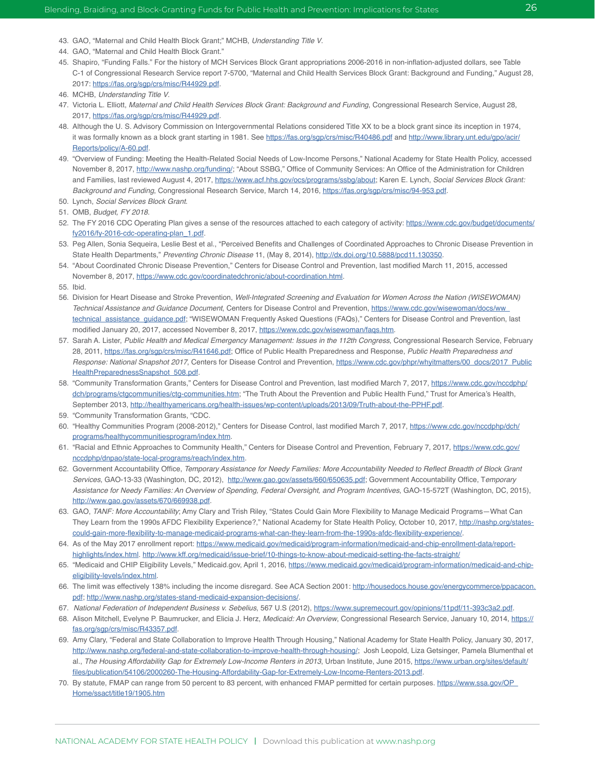- 43. GAO, "Maternal and Child Health Block Grant;" MCHB, Understanding Title V.
- 44. GAO, "Maternal and Child Health Block Grant."
- 45. Shapiro, "Funding Falls." For the history of MCH Services Block Grant appropriations 2006-2016 in non-inflation-adjusted dollars, see Table C-1 of Congressional Research Service report 7-5700, "Maternal and Child Health Services Block Grant: Background and Funding," August 28, 2017: [https://fas.org/sgp/crs/misc/R44929.pdf.](https://fas.org/sgp/crs/misc/R44929.pdf)
- 46. MCHB, Understanding Title V.
- 47. Victoria L. Elliott, Maternal and Child Health Services Block Grant: Background and Funding, Congressional Research Service, August 28, 2017, [https://fas.org/sgp/crs/misc/R44929.pdf.](https://fas.org/sgp/crs/misc/R44929.pdf)
- 48. Although the U. S. Advisory Commission on Intergovernmental Relations considered Title XX to be a block grant since its inception in 1974, it was formally known as a block grant starting in 1981. See <https://fas.org/sgp/crs/misc/R40486.pdf> and [http://www.library.unt.edu/gpo/acir/](http://www.library.unt.edu/gpo/acir/Reports/policy/A-60.pdf) [Reports/policy/A-60.pdf.](http://www.library.unt.edu/gpo/acir/Reports/policy/A-60.pdf)
- 49. "Overview of Funding: Meeting the Health-Related Social Needs of Low-Income Persons," National Academy for State Health Policy, accessed November 8, 2017, <http://www.nashp.org/funding/>; "About SSBG," Office of Community Services: An Office of the Administration for Children and Families, last reviewed August 4, 2017, [https://www.acf.hhs.gov/ocs/programs/ssbg/about;](https://www.acf.hhs.gov/ocs/programs/ssbg/about) Karen E. Lynch, Social Services Block Grant: *Background and Funding*, Congressional Research Service, March 14, 2016,<https://fas.org/sgp/crs/misc/94-953.pdf>.
- 50. Lynch, Social Services Block Grant.
- 51. OMB, Budget, FY 2018.
- 52. The FY 2016 CDC Operating Plan gives a sense of the resources attached to each category of activity: [https://www.cdc.gov/budget/documents/](https://www.cdc.gov/budget/documents/fy2016/fy-2016-cdc-operating-plan_1.pdf) [fy2016/fy-2016-cdc-operating-plan\\_1.pdf.](https://www.cdc.gov/budget/documents/fy2016/fy-2016-cdc-operating-plan_1.pdf)
- 53. Peg Allen, Sonia Sequeira, Leslie Best et al., "Perceived Benefits and Challenges of Coordinated Approaches to Chronic Disease Prevention in State Health Departments," *Preventing Chronic Disease* 11, (May 8, 2014),<http://dx.doi.org/10.5888/pcd11.130350>.
- 54. "About Coordinated Chronic Disease Prevention," Centers for Disease Control and Prevention, last modified March 11, 2015, accessed November 8, 2017, [https://www.cdc.gov/coordinatedchronic/about-coordination.html.](https://www.cdc.gov/coordinatedchronic/about-coordination.html)
- 55. Ibid.
- 56. Division for Heart Disease and Stroke Prevention, Well-Integrated Screening and Evaluation for Women Across the Nation (WISEWOMAN) Technical Assistance and Guidance Document, Centers for Disease Control and Prevention, [https://www.cdc.gov/wisewoman/docs/ww\\_](https://www.cdc.gov/wisewoman/docs/ww_technical_assistance_guidance.pdf) [technical\\_assistance\\_guidance.pdf](https://www.cdc.gov/wisewoman/docs/ww_technical_assistance_guidance.pdf); "WISEWOMAN Frequently Asked Questions (FAQs)," Centers for Disease Control and Prevention, last modified January 20, 2017, accessed November 8, 2017, <https://www.cdc.gov/wisewoman/faqs.htm>.
- 57. Sarah A. Lister, Public Health and Medical Emergency Management: Issues in the 112th Congress, Congressional Research Service, February 28, 2011, [https://fas.org/sgp/crs/misc/R41646.pdf;](https://fas.org/sgp/crs/misc/R41646.pdf) Office of Public Health Preparedness and Response, Public Health Preparedness and Response: National Snapshot 2017, Centers for Disease Control and Prevention, [https://www.cdc.gov/phpr/whyitmatters/00\\_docs/2017\\_Public](https://www.cdc.gov/phpr/whyitmatters/00_docs/2017_PublicHealthPreparednessSnapshot_508.pdf) [HealthPreparednessSnapshot\\_508.pdf.](https://www.cdc.gov/phpr/whyitmatters/00_docs/2017_PublicHealthPreparednessSnapshot_508.pdf)
- 58. "Community Transformation Grants," Centers for Disease Control and Prevention, last modified March 7, 2017, [https://www.cdc.gov/nccdphp/](https://www.cdc.gov/nccdphp/dch/programs/ctgcommunities/ctg-communities.htm) [dch/programs/ctgcommunities/ctg-communities.htm](https://www.cdc.gov/nccdphp/dch/programs/ctgcommunities/ctg-communities.htm); "The Truth About the Prevention and Public Health Fund," Trust for America's Health, September 2013,<http://healthyamericans.org/health-issues/wp-content/uploads/2013/09/Truth-about-the-PPHF.pdf>.
- 59. "Community Transformation Grants, "CDC.
- 60. "Healthy Communities Program (2008-2012)," Centers for Disease Control, last modified March 7, 2017, [https://www.cdc.gov/nccdphp/dch/](https://www.cdc.gov/nccdphp/dch/programs/healthycommunitiesprogram/index.htm) [programs/healthycommunitiesprogram/index.htm](https://www.cdc.gov/nccdphp/dch/programs/healthycommunitiesprogram/index.htm).
- 61. "Racial and Ethnic Approaches to Community Health," Centers for Disease Control and Prevention, February 7, 2017, [https://www.cdc.gov/](https://www.cdc.gov/nccdphp/dnpao/state-local-programs/reach/index.htm) [nccdphp/dnpao/state-local-programs/reach/index.htm.](https://www.cdc.gov/nccdphp/dnpao/state-local-programs/reach/index.htm)
- 62. Government Accountability Office, Temporary Assistance for Needy Families: More Accountability Needed to Reflect Breadth of Block Grant *Services*, GAO-13-33 (Washington, DC, 2012), [http://www.gao.gov/assets/660/650635.pdf;](http://www.gao.gov/assets/660/650635.pdf) Government Accountability Office, T*emporary*  Assistance for Needy Families: An Overview of Spending, Federal Oversight, and Program Incentives, GAO-15-572T (Washington, DC, 2015), <http://www.gao.gov/assets/670/669938.pdf>.
- 63. GAO, TANF: More Accountability; Amy Clary and Trish Riley, "States Could Gain More Flexibility to Manage Medicaid Programs-What Can They Learn from the 1990s AFDC Flexibility Experience?," National Academy for State Health Policy, October 10, 2017, [http://nashp.org/states](http://nashp.org/states-could-gain-more-flexibility-to-manage-medicaid-programs-what-can-they-learn-from-the-1990s-afdc-flexibility-experience/)[could-gain-more-flexibility-to-manage-medicaid-programs-what-can-they-learn-from-the-1990s-afdc-flexibility-experience/.](http://nashp.org/states-could-gain-more-flexibility-to-manage-medicaid-programs-what-can-they-learn-from-the-1990s-afdc-flexibility-experience/)
- 64. As of the May 2017 enrollment report: [https://www.medicaid.gov/medicaid/program-information/medicaid-and-chip-enrollment-data/report](https://www.medicaid.gov/medicaid/program-information/medicaid-and-chip-enrollment-data/report-highlights/index.html)[highlights/index.html.](https://www.medicaid.gov/medicaid/program-information/medicaid-and-chip-enrollment-data/report-highlights/index.html) <http://www.kff.org/medicaid/issue-brief/10-things-to-know-about-medicaid-setting-the-facts-straight/>
- 65. "Medicaid and CHIP Eligibility Levels," Medicaid.gov, April 1, 2016, [https://www.medicaid.gov/medicaid/program-information/medicaid-and-chip](https://www.medicaid.gov/medicaid/program-information/medicaid-and-chip-eligibility-levels/index.html)[eligibility-levels/index.html](https://www.medicaid.gov/medicaid/program-information/medicaid-and-chip-eligibility-levels/index.html).
- 66. The limit was effectively 138% including the income disregard. See ACA Section 2001: [http://housedocs.house.gov/energycommerce/ppacacon.](http://housedocs.house.gov/energycommerce/ppacacon.pdf) [pdf](http://housedocs.house.gov/energycommerce/ppacacon.pdf);<http://www.nashp.org/states-stand-medicaid-expansion-decisions/>.
- 67. *National Federation of Independent Business v. Sebelius*, 567 U.S (2012), [https://www.supremecourt.gov/opinions/11pdf/11-393c3a2.pdf.](https://www.supremecourt.gov/opinions/11pdf/11-393c3a2.pdf)
- 68. Alison Mitchell, Evelyne P. Baumrucker, and Elicia J. Herz, Medicaid: An Overview, Congressional Research Service, January 10, 2014, [https://](https://fas.org/sgp/crs/misc/R43357.pdf) [fas.org/sgp/crs/misc/R43357.pdf](https://fas.org/sgp/crs/misc/R43357.pdf).
- 69. Amy Clary, "Federal and State Collaboration to Improve Health Through Housing," National Academy for State Health Policy, January 30, 2017, <http://www.nashp.org/federal-and-state-collaboration-to-improve-health-through-housing/>; Josh Leopold, Liza Getsinger, Pamela Blumenthal et al., The Housing Affordability Gap for Extremely Low-Income Renters in 2013, Urban Institute, June 2015, [https://www.urban.org/sites/default/](https://www.urban.org/sites/default/files/publication/54106/2000260-The-Housing-Affordability-Gap-for-Extremely-Low-Income-Renters-2013.pdf) [files/publication/54106/2000260-The-Housing-Affordability-Gap-for-Extremely-Low-Income-Renters-2013.pdf.](https://www.urban.org/sites/default/files/publication/54106/2000260-The-Housing-Affordability-Gap-for-Extremely-Low-Income-Renters-2013.pdf)
- 70. By statute, FMAP can range from 50 percent to 83 percent, with enhanced FMAP permitted for certain purposes. [https://www.ssa.gov/OP\\_](https://www.ssa.gov/OP_Home/ssact/title19/1905.htm) [Home/ssact/title19/1905.htm](https://www.ssa.gov/OP_Home/ssact/title19/1905.htm)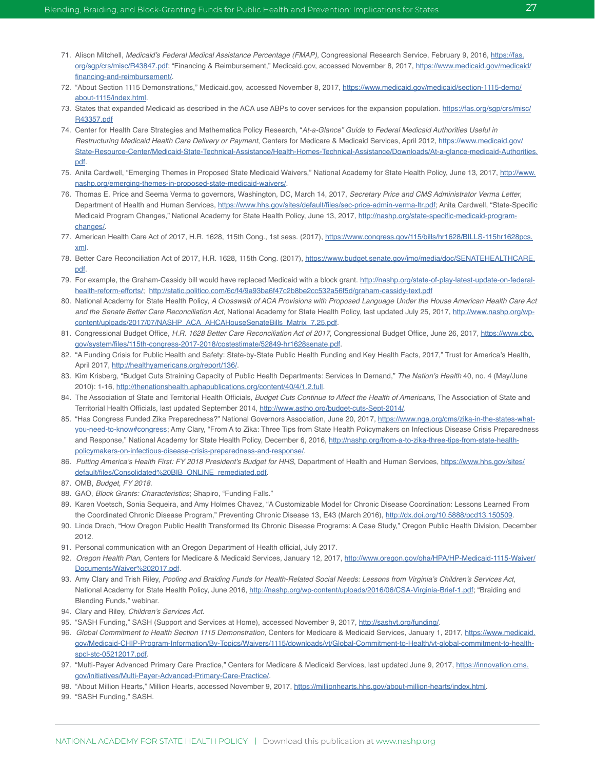- 71. Alison Mitchell, Medicaid's Federal Medical Assistance Percentage (FMAP), Congressional Research Service, February 9, 2016, [https://fas.](https://fas.org/sgp/crs/misc/R43847.pdf) [org/sgp/crs/misc/R43847.pdf;](https://fas.org/sgp/crs/misc/R43847.pdf) "Financing & Reimbursement," Medicaid.gov, accessed November 8, 2017, [https://www.medicaid.gov/medicaid/](https://www.medicaid.gov/medicaid/financing-and-reimbursement/) [financing-and-reimbursement/.](https://www.medicaid.gov/medicaid/financing-and-reimbursement/)
- 72. "About Section 1115 Demonstrations," Medicaid.gov, accessed November 8, 2017, [https://www.medicaid.gov/medicaid/section-1115-demo/](https://www.medicaid.gov/medicaid/section-1115-demo/about-1115/index.html) [about-1115/index.html](https://www.medicaid.gov/medicaid/section-1115-demo/about-1115/index.html).
- 73. States that expanded Medicaid as described in the ACA use ABPs to cover services for the expansion population. [https://fas.org/sgp/crs/misc/](https://fas.org/sgp/crs/misc/R43357.pdf) [R43357.pdf](https://fas.org/sgp/crs/misc/R43357.pdf)
- 74. Center for Health Care Strategies and Mathematica Policy Research, "At-a-Glance" Guide to Federal Medicaid Authorities Useful in Restructuring Medicaid Health Care Delivery or Payment, Centers for Medicare & Medicaid Services, April 2012, [https://www.medicaid.gov/](https://www.medicaid.gov/State-Resource-Center/Medicaid-State-Technical-Assistance/Health-Homes-Technical-Assistance/Downloads/At-a-glance-medicaid-Authorities.pdf) [State-Resource-Center/Medicaid-State-Technical-Assistance/Health-Homes-Technical-Assistance/Downloads/At-a-glance-medicaid-Authorities.](https://www.medicaid.gov/State-Resource-Center/Medicaid-State-Technical-Assistance/Health-Homes-Technical-Assistance/Downloads/At-a-glance-medicaid-Authorities.pdf) [pdf.](https://www.medicaid.gov/State-Resource-Center/Medicaid-State-Technical-Assistance/Health-Homes-Technical-Assistance/Downloads/At-a-glance-medicaid-Authorities.pdf)
- 75. Anita Cardwell, "Emerging Themes in Proposed State Medicaid Waivers," National Academy for State Health Policy, June 13, 2017, [http://www.](http://www.nashp.org/emerging-themes-in-proposed-state-medicaid-waivers/) [nashp.org/emerging-themes-in-proposed-state-medicaid-waivers/](http://www.nashp.org/emerging-themes-in-proposed-state-medicaid-waivers/).
- 76. Thomas E. Price and Seema Verma to governors, Washington, DC, March 14, 2017, Secretary Price and CMS Administrator Verma Letter, Department of Health and Human Services,<https://www.hhs.gov/sites/default/files/sec-price-admin-verma-ltr.pdf>; Anita Cardwell, "State-Specific Medicaid Program Changes," National Academy for State Health Policy, June 13, 2017, [http://nashp.org/state-specific-medicaid-program](http://nashp.org/state-specific-medicaid-program-changes/)[changes/.](http://nashp.org/state-specific-medicaid-program-changes/)
- 77. American Health Care Act of 2017, H.R. 1628, 115th Cong., 1st sess. (2017), [https://www.congress.gov/115/bills/hr1628/BILLS-115hr1628pcs.](https://www.congress.gov/115/bills/hr1628/BILLS-115hr1628pcs.xml) [xml.](https://www.congress.gov/115/bills/hr1628/BILLS-115hr1628pcs.xml)
- 78. Better Care Reconciliation Act of 2017, H.R. 1628, 115th Cong. (2017), [https://www.budget.senate.gov/imo/media/doc/SENATEHEALTHCARE.](https://www.budget.senate.gov/imo/media/doc/SENATEHEALTHCARE.pdf) [pdf.](https://www.budget.senate.gov/imo/media/doc/SENATEHEALTHCARE.pdf)
- 79. For example, the Graham-Cassidy bill would have replaced Medicaid with a block grant. [http://nashp.org/state-of-play-latest-update-on-federal](http://nashp.org/state-of-play-latest-update-on-federal-health-reform-efforts/)[health-reform-efforts/](http://nashp.org/state-of-play-latest-update-on-federal-health-reform-efforts/); <http://static.politico.com/6c/f4/9a93ba6f47c2b8be2cc532a56f5d/graham-cassidy-text.pdf>
- 80. National Academy for State Health Policy, A Crosswalk of ACA Provisions with Proposed Language Under the House American Health Care Act *and the Senate Better Care Reconciliation Act*, National Academy for State Health Policy, last updated July 25, 2017, [http://www.nashp.org/wp](http://www.nashp.org/wp-content/uploads/2017/07/NASHP_ACA_AHCAHouseSenateBills_Matrix_7.25.pdf)[content/uploads/2017/07/NASHP\\_ACA\\_AHCAHouseSenateBills\\_Matrix\\_7.25.pdf](http://www.nashp.org/wp-content/uploads/2017/07/NASHP_ACA_AHCAHouseSenateBills_Matrix_7.25.pdf).
- 81. Congressional Budget Office, H.R. 1628 Better Care Reconciliation Act of 2017, Congressional Budget Office, June 26, 2017, [https://www.cbo.](https://www.cbo.gov/system/files/115th-congress-2017-2018/costestimate/52849-hr1628senate.pdf) [gov/system/files/115th-congress-2017-2018/costestimate/52849-hr1628senate.pdf](https://www.cbo.gov/system/files/115th-congress-2017-2018/costestimate/52849-hr1628senate.pdf).
- 82. "A Funding Crisis for Public Health and Safety: State-by-State Public Health Funding and Key Health Facts, 2017," Trust for America's Health, April 2017,<http://healthyamericans.org/report/136/>.
- 83. Kim Krisberg, "Budget Cuts Straining Capacity of Public Health Departments: Services In Demand," The Nation's Health 40, no. 4 (May/June 2010): 1-16, <http://thenationshealth.aphapublications.org/content/40/4/1.2.full>.
- 84. The Association of State and Territorial Health Officials, Budget Cuts Continue to Affect the Health of Americans, The Association of State and Territorial Health Officials, last updated September 2014, [http://www.astho.org/budget-cuts-Sept-2014/.](http://www.astho.org/budget-cuts-Sept-2014/)
- 85. "Has Congress Funded Zika Preparedness?" National Governors Association, June 20, 2017, [https://www.nga.org/cms/zika-in-the-states-what](https://www.nga.org/cms/zika-in-the-states-what-you-need-to-know#congress)[you-need-to-know#congress;](https://www.nga.org/cms/zika-in-the-states-what-you-need-to-know#congress) Amy Clary, "From A to Zika: Three Tips from State Health Policymakers on Infectious Disease Crisis Preparedness and Response," National Academy for State Health Policy, December 6, 2016, [http://nashp.org/from-a-to-zika-three-tips-from-state-health](http://nashp.org/from-a-to-zika-three-tips-from-state-health-policymakers-on-infectious-disease-crisis-preparedness-and-response/)[policymakers-on-infectious-disease-crisis-preparedness-and-response/.](http://nashp.org/from-a-to-zika-three-tips-from-state-health-policymakers-on-infectious-disease-crisis-preparedness-and-response/)
- 86. Putting America's Health First: FY 2018 President's Budget for HHS, Department of Health and Human Services, [https://www.hhs.gov/sites/](https://www.hhs.gov/sites/default/files/Consolidated%20BIB_ONLINE_remediated.pdf) [default/files/Consolidated%20BIB\\_ONLINE\\_remediated.pdf](https://www.hhs.gov/sites/default/files/Consolidated%20BIB_ONLINE_remediated.pdf).
- 87. OMB, Budget, FY 2018.
- 88. GAO, Block Grants: Characteristics; Shapiro, "Funding Falls."
- 89. Karen Voetsch, Sonia Sequeira, and Amy Holmes Chavez, "A Customizable Model for Chronic Disease Coordination: Lessons Learned From the Coordinated Chronic Disease Program," Preventing Chronic Disease 13, E43 (March 2016), [http://dx.doi.org/10.5888/pcd13.150509.](http://dx.doi.org/10.5888/pcd13.150509)
- 90. Linda Drach, "How Oregon Public Health Transformed Its Chronic Disease Programs: A Case Study," Oregon Public Health Division, December 2012.
- 91. Personal communication with an Oregon Department of Health official, July 2017.
- 92. Oregon Health Plan, Centers for Medicare & Medicaid Services, January 12, 2017, [http://www.oregon.gov/oha/HPA/HP-Medicaid-1115-Waiver/](http://www.oregon.gov/oha/HPA/HP-Medicaid-1115-Waiver/Documents/Waiver%202017.pdf) [Documents/Waiver%202017.pdf.](http://www.oregon.gov/oha/HPA/HP-Medicaid-1115-Waiver/Documents/Waiver%202017.pdf)
- 93. Amy Clary and Trish Riley, Pooling and Braiding Funds for Health-Related Social Needs: Lessons from Virginia's Children's Services Act, National Academy for State Health Policy, June 2016, <http://nashp.org/wp-content/uploads/2016/06/CSA-Virginia-Brief-1.pdf>; "Braiding and Blending Funds," webinar.
- 94. Clary and Riley, Children's Services Act.
- 95. "SASH Funding," SASH (Support and Services at Home), accessed November 9, 2017, [http://sashvt.org/funding/.](http://sashvt.org/funding/)
- 96. Global Commitment to Health Section 1115 Demonstration, Centers for Medicare & Medicaid Services, January 1, 2017, [https://www.medicaid.](https://www.medicaid.gov/Medicaid-CHIP-Program-Information/By-Topics/Waivers/1115/downloads/vt/Global-Commitment-to-Health/vt-global-commitment-to-health-spcl-stc-05212017.pdf) [gov/Medicaid-CHIP-Program-Information/By-Topics/Waivers/1115/downloads/vt/Global-Commitment-to-Health/vt-global-commitment-to-health](https://www.medicaid.gov/Medicaid-CHIP-Program-Information/By-Topics/Waivers/1115/downloads/vt/Global-Commitment-to-Health/vt-global-commitment-to-health-spcl-stc-05212017.pdf)[spcl-stc-05212017.pdf](https://www.medicaid.gov/Medicaid-CHIP-Program-Information/By-Topics/Waivers/1115/downloads/vt/Global-Commitment-to-Health/vt-global-commitment-to-health-spcl-stc-05212017.pdf).
- 97. "Multi-Payer Advanced Primary Care Practice," Centers for Medicare & Medicaid Services, last updated June 9, 2017, [https://innovation.cms.](https://innovation.cms.gov/initiatives/Multi-Payer-Advanced-Primary-Care-Practice/) [gov/initiatives/Multi-Payer-Advanced-Primary-Care-Practice/.](https://innovation.cms.gov/initiatives/Multi-Payer-Advanced-Primary-Care-Practice/)
- 98. "About Million Hearts," Million Hearts, accessed November 9, 2017, [https://millionhearts.hhs.gov/about-million-hearts/index.html.](https://millionhearts.hhs.gov/about-million-hearts/index.html)
- 99. "SASH Funding," SASH.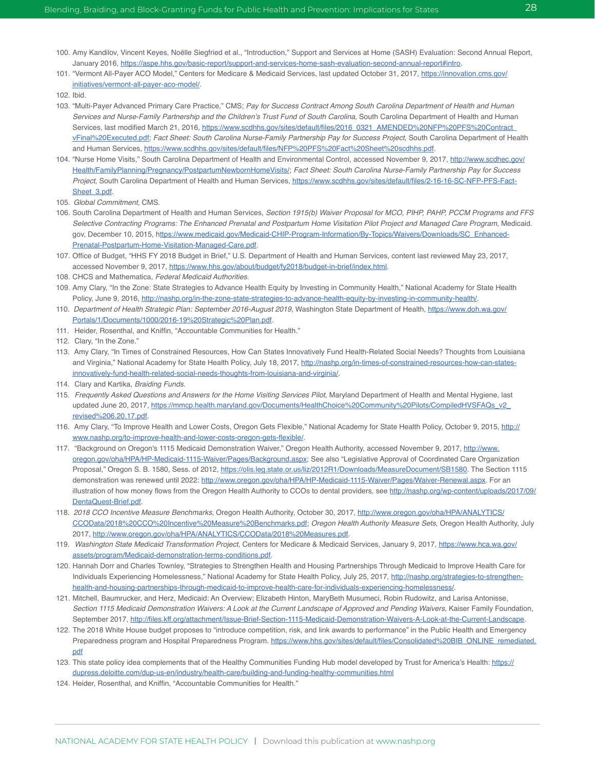- 100. Amy Kandilov, Vincent Keyes, Noëlle Siegfried et al., "Introduction," Support and Services at Home (SASH) Evaluation: Second Annual Report, January 2016,<https://aspe.hhs.gov/basic-report/support-and-services-home-sash-evaluation-second-annual-report#intro>.
- 101. "Vermont All-Payer ACO Model," Centers for Medicare & Medicaid Services, last updated October 31, 2017, [https://innovation.cms.gov/](https://innovation.cms.gov/initiatives/vermont-all-payer-aco-model/) [initiatives/vermont-all-payer-aco-model/.](https://innovation.cms.gov/initiatives/vermont-all-payer-aco-model/)
- 102. Ibid.
- 103. "Multi-Payer Advanced Primary Care Practice," CMS; Pay for Success Contract Among South Carolina Department of Health and Human Services and Nurse-Family Partnership and the Children's Trust Fund of South Carolina, South Carolina Department of Health and Human Services, last modified March 21, 2016, https://www.scdhhs.gov/sites/default/files/2016\_0321\_AMENDED%20NFP%20PFS%20Contract [vFinal%20Executed.pdf](https://www.scdhhs.gov/sites/default/files/2016_0321_AMENDED%20NFP%20PFS%20Contract_vFinal%20Executed.pdf); Fact Sheet: South Carolina Nurse-Family Partnership Pay for Success Project, South Carolina Department of Health and Human Services, [https://www.scdhhs.gov/sites/default/files/NFP%20PFS%20Fact%20Sheet%20scdhhs.pdf.](https://www.scdhhs.gov/sites/default/files/NFP%20PFS%20Fact%20Sheet%20scdhhs.pdf)
- 104. "Nurse Home Visits," South Carolina Department of Health and Environmental Control, accessed November 9, 2017, [http://www.scdhec.gov/](http://www.scdhec.gov/Health/FamilyPlanning/Pregnancy/PostpartumNewbornHomeVisits/) [Health/FamilyPlanning/Pregnancy/PostpartumNewbornHomeVisits/](http://www.scdhec.gov/Health/FamilyPlanning/Pregnancy/PostpartumNewbornHomeVisits/); Fact Sheet: South Carolina Nurse-Family Partnership Pay for Success Project, South Carolina Department of Health and Human Services, [https://www.scdhhs.gov/sites/default/files/2-16-16-SC-NFP-PFS-Fact-](https://www.scdhhs.gov/sites/default/files/2-16-16-SC-NFP-PFS-Fact-Sheet_3.pdf)[Sheet\\_3.pdf](https://www.scdhhs.gov/sites/default/files/2-16-16-SC-NFP-PFS-Fact-Sheet_3.pdf).
- 105. Global Commitment, CMS.
- 106. South Carolina Department of Health and Human Services, Section 1915(b) Waiver Proposal for MCO, PIHP, PAHP, PCCM Programs and FFS Selective Contracting Programs: The Enhanced Prenatal and Postpartum Home Visitation Pilot Project and Managed Care Program, Medicaid. gov, December 10, 2015, h[ttps://www.medicaid.gov/Medicaid-CHIP-Program-Information/By-Topics/Waivers/Downloads/SC\\_Enhanced-](ttps://www.medicaid.gov/Medicaid-CHIP-Program-Information/By-Topics/Waivers/Downloads/SC_Enhanced-Prenatal-Postpartum-Home-Visitation-Managed-Care.pdf)[Prenatal-Postpartum-Home-Visitation-Managed-Care.pdf.](ttps://www.medicaid.gov/Medicaid-CHIP-Program-Information/By-Topics/Waivers/Downloads/SC_Enhanced-Prenatal-Postpartum-Home-Visitation-Managed-Care.pdf)
- 107. Office of Budget, "HHS FY 2018 Budget in Brief," U.S. Department of Health and Human Services, content last reviewed May 23, 2017, accessed November 9, 2017,<https://www.hhs.gov/about/budget/fy2018/budget-in-brief/index.html>.
- 108. CHCS and Mathematica, *Federal Medicaid Authorities*.
- 109. Amy Clary, "In the Zone: State Strategies to Advance Health Equity by Investing in Community Health," National Academy for State Health Policy, June 9, 2016, <http://nashp.org/in-the-zone-state-strategies-to-advance-health-equity-by-investing-in-community-health/>.
- 110. Department of Health Strategic Plan: September 2016-August 2019, Washington State Department of Health, [https://www.doh.wa.gov/](https://www.doh.wa.gov/Portals/1/Documents/1000/2016-19%20Strategic%20Plan.pdf) [Portals/1/Documents/1000/2016-19%20Strategic%20Plan.pdf.](https://www.doh.wa.gov/Portals/1/Documents/1000/2016-19%20Strategic%20Plan.pdf)
- 111. Heider, Rosenthal, and Kniffin, "Accountable Communities for Health."
- 112. Clary, "In the Zone."
- 113. Amy Clary, "In Times of Constrained Resources, How Can States Innovatively Fund Health-Related Social Needs? Thoughts from Louisiana and Virginia," National Academy for State Health Policy, July 18, 2017, [http://nashp.org/in-times-of-constrained-resources-how-can-states](http://nashp.org/in-times-of-constrained-resources-how-can-states-innovatively-fund-health-related-social-needs-thoughts-from-louisiana-and-virginia/)[innovatively-fund-health-related-social-needs-thoughts-from-louisiana-and-virginia/](http://nashp.org/in-times-of-constrained-resources-how-can-states-innovatively-fund-health-related-social-needs-thoughts-from-louisiana-and-virginia/).
- 114. Clary and Kartika, *Braiding Funds*.
- 115. Frequently Asked Questions and Answers for the Home Visiting Services Pilot, Maryland Department of Health and Mental Hygiene, last updated June 20, 2017, [https://mmcp.health.maryland.gov/Documents/HealthChoice%20Community%20Pilots/CompiledHVSFAQs\\_v2\\_](https://mmcp.health.maryland.gov/Documents/HealthChoice%20Community%20Pilots/CompiledHVSFAQs_v2_revised%206.20.17.pdf) [revised%206.20.17.pdf](https://mmcp.health.maryland.gov/Documents/HealthChoice%20Community%20Pilots/CompiledHVSFAQs_v2_revised%206.20.17.pdf).
- 116. Amy Clary, "To Improve Health and Lower Costs, Oregon Gets Flexible," National Academy for State Health Policy, October 9, 2015, [http://](http://www.nashp.org/to-improve-health-and-lower-costs-oregon-gets-flexible/) [www.nashp.org/to-improve-health-and-lower-costs-oregon-gets-flexible/](http://www.nashp.org/to-improve-health-and-lower-costs-oregon-gets-flexible/).
- 117. "Background on Oregon's 1115 Medicaid Demonstration Waiver," Oregon Health Authority, accessed November 9, 2017, [http://www.](http://www.oregon.gov/oha/HPA/HP-Medicaid-1115-Waiver/Pages/Background.aspx) [oregon.gov/oha/HPA/HP-Medicaid-1115-Waiver/Pages/Background.aspx;](http://www.oregon.gov/oha/HPA/HP-Medicaid-1115-Waiver/Pages/Background.aspx) See also "Legislative Approval of Coordinated Care Organization Proposal," Oregon S. B. 1580, Sess. of 2012, [https://olis.leg.state.or.us/liz/2012R1/Downloads/MeasureDocument/SB1580.](https://olis.leg.state.or.us/liz/2012R1/Downloads/MeasureDocument/SB1580) The Section 1115 demonstration was renewed until 2022: [http://www.oregon.gov/oha/HPA/HP-Medicaid-1115-Waiver/Pages/Waiver-Renewal.aspx.](http://www.oregon.gov/oha/HPA/HP-Medicaid-1115-Waiver/Pages/Waiver-Renewal.aspx) For an illustration of how money flows from the Oregon Health Authority to CCOs to dental providers, see [http://nashp.org/wp-content/uploads/2017/09/](http://nashp.org/wp-content/uploads/2017/09/DentaQuest-Brief.pdf) [DentaQuest-Brief.pdf](http://nashp.org/wp-content/uploads/2017/09/DentaQuest-Brief.pdf).
- 118. 2018 CCO Incentive Measure Benchmarks, Oregon Health Authority, October 30, 2017, [http://www.oregon.gov/oha/HPA/ANALYTICS/](http://www.oregon.gov/oha/HPA/ANALYTICS/CCOData/2018%20CCO%20Incentive%20Measure%20Benchmarks.pdf) [CCOData/2018%20CCO%20Incentive%20Measure%20Benchmarks.pdf](http://www.oregon.gov/oha/HPA/ANALYTICS/CCOData/2018%20CCO%20Incentive%20Measure%20Benchmarks.pdf); Oregon Health Authority Measure Sets, Oregon Health Authority, July 2017, <http://www.oregon.gov/oha/HPA/ANALYTICS/CCOData/2018%20Measures.pdf>.
- 119. Washington State Medicaid Transformation Project, Centers for Medicare & Medicaid Services, January 9, 2017, [https://www.hca.wa.gov/](https://www.hca.wa.gov/assets/program/Medicaid-demonstration-terms-conditions.pdf) [assets/program/Medicaid-demonstration-terms-conditions.pdf.](https://www.hca.wa.gov/assets/program/Medicaid-demonstration-terms-conditions.pdf)
- 120. Hannah Dorr and Charles Townley, "Strategies to Strengthen Health and Housing Partnerships Through Medicaid to Improve Health Care for Individuals Experiencing Homelessness," National Academy for State Health Policy, July 25, 2017, [http://nashp.org/strategies-to-strengthen](http://nashp.org/strategies-to-strengthen-health-and-housing-partnerships-through-medicaid-to-improve-health-care-for-individuals-experiencing-homelessness/)[health-and-housing-partnerships-through-medicaid-to-improve-health-care-for-individuals-experiencing-homelessness/](http://nashp.org/strategies-to-strengthen-health-and-housing-partnerships-through-medicaid-to-improve-health-care-for-individuals-experiencing-homelessness/).
- 121. Mitchell, Baumrucker, and Herz, Medicaid: An Overview; Elizabeth Hinton, MaryBeth Musumeci, Robin Rudowitz, and Larisa Antonisse, Section 1115 Medicaid Demonstration Waivers: A Look at the Current Landscape of Approved and Pending Waivers, Kaiser Family Foundation, September 2017, [http://files.kff.org/attachment/Issue-Brief-Section-1115-Medicaid-Demonstration-Waivers-A-Look-at-the-Current-Landscape.](http://files.kff.org/attachment/Issue-Brief-Section-1115-Medicaid-Demonstration-Waivers-A-Look-at-the-Current-Landscape)
- 122. The 2018 White House budget proposes to "introduce competition, risk, and link awards to performance" in the Public Health and Emergency Preparedness program and Hospital Preparedness Program. [https://www.hhs.gov/sites/default/files/Consolidated%20BIB\\_ONLINE\\_remediated.](https://www.hhs.gov/sites/default/files/Consolidated%20BIB_ONLINE_remediated.pdf) <u>[pdf](https://www.hhs.gov/sites/default/files/Consolidated%20BIB_ONLINE_remediated.pdf)</u>
- 123. This state policy idea complements that of the Healthy Communities Funding Hub model developed by Trust for America's Health: [https://](https://dupress.deloitte.com/dup-us-en/industry/health-care/building-and-funding-healthy-communities.html) [dupress.deloitte.com/dup-us-en/industry/health-care/building-and-funding-healthy-communities.html](https://dupress.deloitte.com/dup-us-en/industry/health-care/building-and-funding-healthy-communities.html)
- 124. Heider, Rosenthal, and Kniffin, "Accountable Communities for Health."